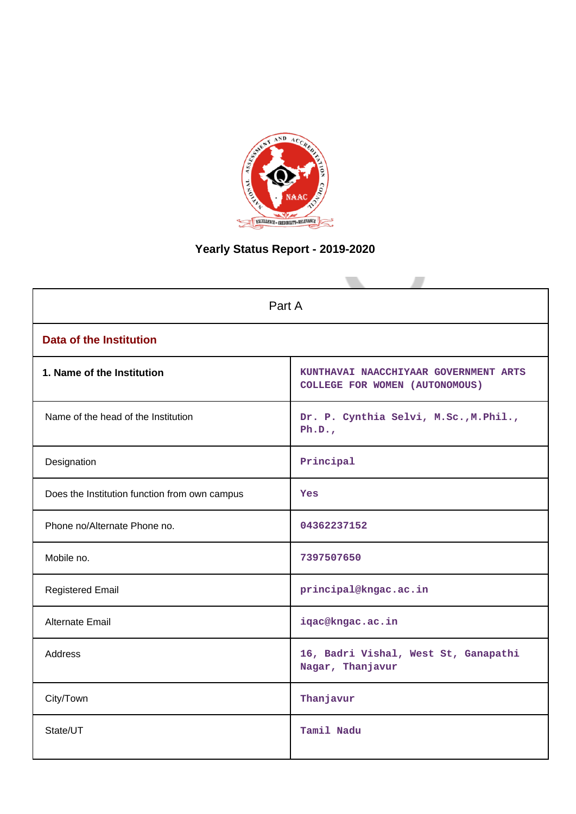

# **Yearly Status Report - 2019-2020**

| Part A                                        |                                                                         |  |  |  |
|-----------------------------------------------|-------------------------------------------------------------------------|--|--|--|
| <b>Data of the Institution</b>                |                                                                         |  |  |  |
| 1. Name of the Institution                    | KUNTHAVAI NAACCHIYAAR GOVERNMENT ARTS<br>COLLEGE FOR WOMEN (AUTONOMOUS) |  |  |  |
| Name of the head of the Institution           | Dr. P. Cynthia Selvi, M.Sc., M. Phil.,<br>Ph.D.,                        |  |  |  |
| Designation                                   | Principal                                                               |  |  |  |
| Does the Institution function from own campus | Yes                                                                     |  |  |  |
| Phone no/Alternate Phone no.                  | 04362237152                                                             |  |  |  |
| Mobile no.                                    | 7397507650                                                              |  |  |  |
| <b>Registered Email</b>                       | principal@kngac.ac.in                                                   |  |  |  |
| Alternate Email                               | iqac@kngac.ac.in                                                        |  |  |  |
| <b>Address</b>                                | 16, Badri Vishal, West St, Ganapathi<br>Nagar, Thanjavur                |  |  |  |
| City/Town                                     | Thanjavur                                                               |  |  |  |
| State/UT                                      | Tamil Nadu                                                              |  |  |  |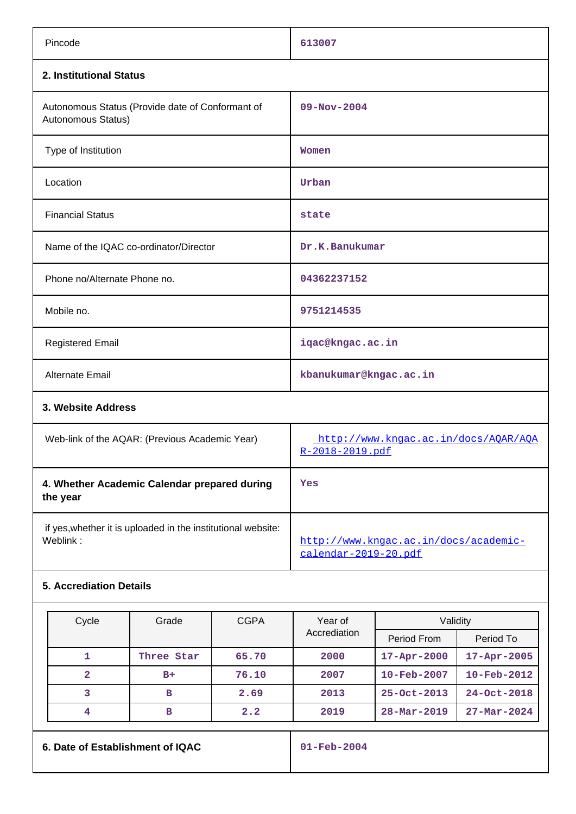| Pincode                                                                  | 613007                                                        |  |  |  |
|--------------------------------------------------------------------------|---------------------------------------------------------------|--|--|--|
| 2. Institutional Status                                                  |                                                               |  |  |  |
| Autonomous Status (Provide date of Conformant of<br>Autonomous Status)   | $09 - Nov - 2004$                                             |  |  |  |
| Type of Institution                                                      | Women                                                         |  |  |  |
| Location                                                                 | Urban                                                         |  |  |  |
| <b>Financial Status</b>                                                  | state                                                         |  |  |  |
| Name of the IQAC co-ordinator/Director                                   | Dr.K.Banukumar                                                |  |  |  |
| Phone no/Alternate Phone no.                                             | 04362237152                                                   |  |  |  |
| Mobile no.                                                               | 9751214535                                                    |  |  |  |
| <b>Registered Email</b>                                                  | iqac@kngac.ac.in                                              |  |  |  |
| <b>Alternate Email</b>                                                   | kbanukumar@kngac.ac.in                                        |  |  |  |
| 3. Website Address                                                       |                                                               |  |  |  |
| Web-link of the AQAR: (Previous Academic Year)                           | http://www.kngac.ac.in/docs/AQAR/AQA<br>R-2018-2019.pdf       |  |  |  |
| 4. Whether Academic Calendar prepared during<br>the year                 | Yes                                                           |  |  |  |
| if yes, whether it is uploaded in the institutional website:<br>Weblink: | http://www.kngac.ac.in/docs/academic-<br>calendar-2019-20.pdf |  |  |  |
| <b>5. Accrediation Details</b>                                           |                                                               |  |  |  |

| Cycle | Grade      | <b>CGPA</b> | Validity<br>Year of |                          |                          |
|-------|------------|-------------|---------------------|--------------------------|--------------------------|
|       |            |             | Accrediation        | Period From              | Period To                |
|       | Three Star | 65.70       | 2000                | $17 - Apr - 2000$        | $17 - Apr - 2005$        |
| 2     | $B+$       | 76.10       | 2007                | $10 - \text{Feb} - 2007$ | $10 - \text{Feb} - 2012$ |
| 3     | в          | 2.69        | 2013                | $25 - Oct - 2013$        | $24 - Oct - 2018$        |
| 4     | в          | 2.2         | 2019                | $28 - \text{Mar} - 2019$ | $27 - \text{Mar} - 2024$ |

**6. Date of Establishment of IQAC 01-Feb-2004**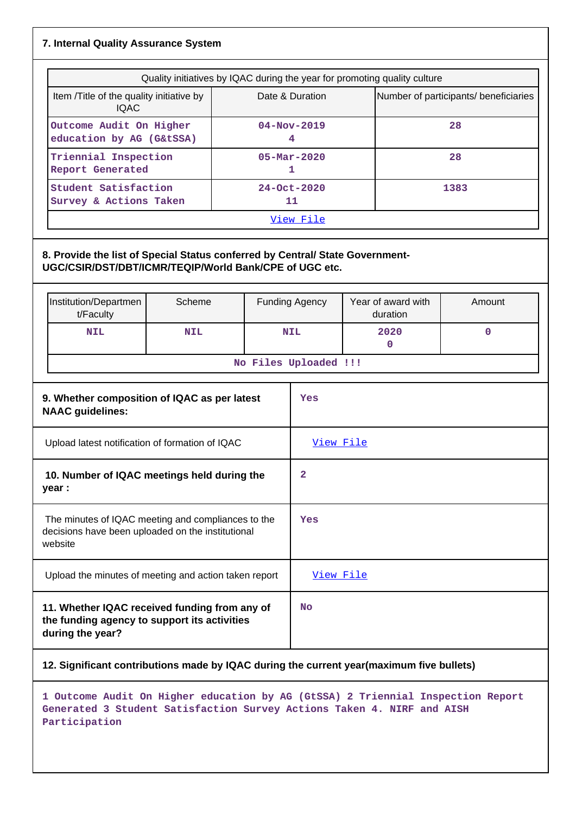### **7. Internal Quality Assurance System**

| Quality initiatives by IQAC during the year for promoting quality culture |                          |                                       |  |  |
|---------------------------------------------------------------------------|--------------------------|---------------------------------------|--|--|
| Item / Title of the quality initiative by<br><b>IQAC</b>                  | Date & Duration          | Number of participants/ beneficiaries |  |  |
| Outcome Audit On Higher<br>education by AG (G&tSSA)                       | $04 - Nov - 2019$<br>4   | 28                                    |  |  |
| Triennial Inspection<br><b>Report Generated</b>                           | $05 - \text{Mar} - 2020$ | 28                                    |  |  |
| Student Satisfaction<br>Survey & Actions Taken                            | $24 - Oct - 2020$<br>11  | 1383                                  |  |  |
| View File                                                                 |                          |                                       |  |  |

### **8. Provide the list of Special Status conferred by Central/ State Government-UGC/CSIR/DST/DBT/ICMR/TEQIP/World Bank/CPE of UGC etc.**

| Institution/Departmen<br>t/Faculty | Scheme     | <b>Funding Agency</b> | Year of award with<br>duration | Amount |
|------------------------------------|------------|-----------------------|--------------------------------|--------|
| <b>NIL</b>                         | <b>NIL</b> | <b>NIL</b>            | 2020                           |        |
| No Files Uploaded !!!              |            |                       |                                |        |

| 9. Whether composition of IQAC as per latest<br><b>NAAC guidelines:</b>                                            | Yes              |
|--------------------------------------------------------------------------------------------------------------------|------------------|
| Upload latest notification of formation of IQAC                                                                    | <u>View File</u> |
| 10. Number of IQAC meetings held during the<br>year :                                                              | 2                |
| The minutes of IQAC meeting and compliances to the<br>decisions have been uploaded on the institutional<br>website | Yes              |
| Upload the minutes of meeting and action taken report                                                              | View File        |
| 11. Whether IQAC received funding from any of<br>the funding agency to support its activities<br>during the year?  | <b>No</b>        |

### **12. Significant contributions made by IQAC during the current year(maximum five bullets)**

**1 Outcome Audit On Higher education by AG (GtSSA) 2 Triennial Inspection Report Generated 3 Student Satisfaction Survey Actions Taken 4. NIRF and AISH Participation**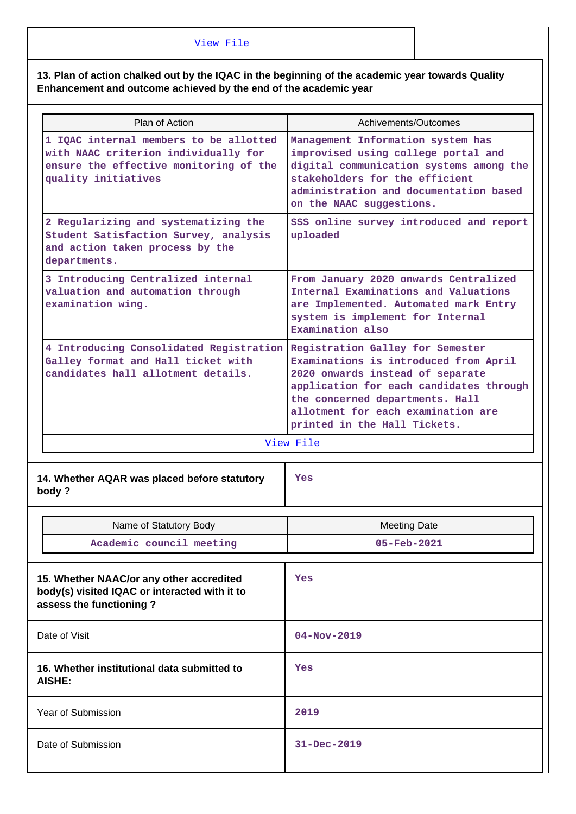### [View File](https://assessmentonline.naac.gov.in/public/Postacc/Contribution/15107_Contribution.xlsx)

**13. Plan of action chalked out by the IQAC in the beginning of the academic year towards Quality Enhancement and outcome achieved by the end of the academic year**

| Plan of Action                                                                                                                                  | Achivements/Outcomes                                                                                                                                                                                                                                              |
|-------------------------------------------------------------------------------------------------------------------------------------------------|-------------------------------------------------------------------------------------------------------------------------------------------------------------------------------------------------------------------------------------------------------------------|
| 1 IQAC internal members to be allotted<br>with NAAC criterion individually for<br>ensure the effective monitoring of the<br>quality initiatives | Management Information system has<br>improvised using college portal and<br>digital communication systems among the<br>stakeholders for the efficient<br>administration and documentation based<br>on the NAAC suggestions.                                       |
| 2 Regularizing and systematizing the<br>Student Satisfaction Survey, analysis<br>and action taken process by the<br>departments.                | SSS online survey introduced and report<br>uploaded                                                                                                                                                                                                               |
| 3 Introducing Centralized internal<br>valuation and automation through<br>examination wing.                                                     | From January 2020 onwards Centralized<br>Internal Examinations and Valuations<br>are Implemented. Automated mark Entry<br>system is implement for Internal<br>Examination also                                                                                    |
| 4 Introducing Consolidated Registration<br>Galley format and Hall ticket with<br>candidates hall allotment details.                             | Registration Galley for Semester<br>Examinations is introduced from April<br>2020 onwards instead of separate<br>application for each candidates through<br>the concerned departments. Hall<br>allotment for each examination are<br>printed in the Hall Tickets. |
|                                                                                                                                                 |                                                                                                                                                                                                                                                                   |
|                                                                                                                                                 | View File                                                                                                                                                                                                                                                         |
| 14. Whether AQAR was placed before statutory<br>body?                                                                                           | Yes                                                                                                                                                                                                                                                               |
| Name of Statutory Body                                                                                                                          | <b>Meeting Date</b>                                                                                                                                                                                                                                               |
| Academic council meeting                                                                                                                        | 05-Feb-2021                                                                                                                                                                                                                                                       |
| 15. Whether NAAC/or any other accredited<br>body(s) visited IQAC or interacted with it to<br>assess the functioning?                            | Yes                                                                                                                                                                                                                                                               |
| Date of Visit                                                                                                                                   | $04 - Nov - 2019$                                                                                                                                                                                                                                                 |
| 16. Whether institutional data submitted to<br><b>AISHE:</b>                                                                                    | Yes                                                                                                                                                                                                                                                               |
| Year of Submission                                                                                                                              | 2019                                                                                                                                                                                                                                                              |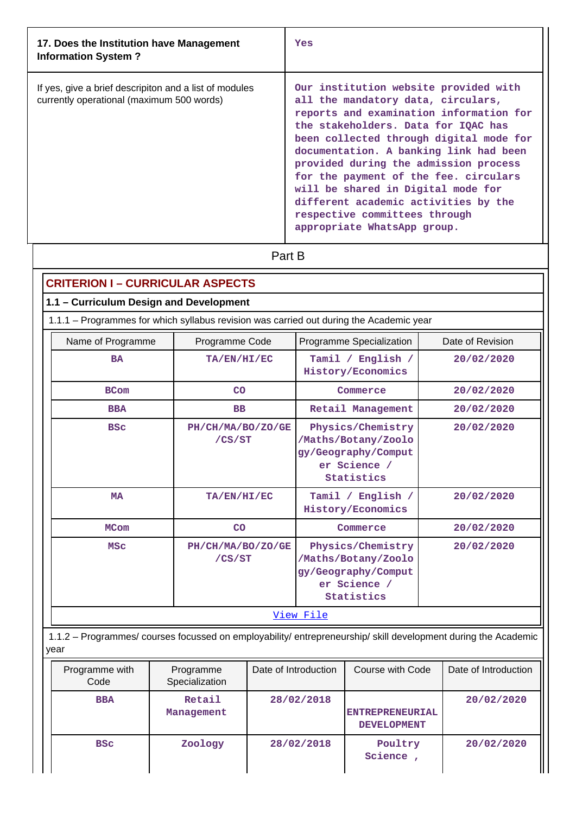| 17. Does the Institution have Management<br><b>Information System?</b>                              | Yes                                                                                                                                                                                                                                                                                                                                                                                                                                                                                |
|-----------------------------------------------------------------------------------------------------|------------------------------------------------------------------------------------------------------------------------------------------------------------------------------------------------------------------------------------------------------------------------------------------------------------------------------------------------------------------------------------------------------------------------------------------------------------------------------------|
| If yes, give a brief descripiton and a list of modules<br>currently operational (maximum 500 words) | Our institution website provided with<br>all the mandatory data, circulars,<br>reports and examination information for<br>the stakeholders. Data for IQAC has<br>been collected through digital mode for<br>documentation. A banking link had been<br>provided during the admission process<br>for the payment of the fee. circulars<br>will be shared in Digital mode for<br>different academic activities by the<br>respective committees through<br>appropriate WhatsApp group. |

**Part B** 

# **CRITERION I – CURRICULAR ASPECTS**

## **1.1 – Curriculum Design and Development**

1.1.1 – Programmes for which syllabus revision was carried out during the Academic year

| Name of Programme | Programme Code              | Programme Specialization                                                                      | Date of Revision |
|-------------------|-----------------------------|-----------------------------------------------------------------------------------------------|------------------|
| <b>BA</b>         | TA/EN/HI/EC                 | Tamil / English /<br>History/Economics                                                        | 20/02/2020       |
| <b>BCom</b>       | CO                          | Commerce                                                                                      | 20/02/2020       |
| <b>BBA</b>        | <b>BB</b>                   | Retail Management                                                                             | 20/02/2020       |
| <b>BSC</b>        | PH/CH/MA/BO/ZO/GE<br>/CS/ST | Physics/Chemistry<br>/Maths/Botany/Zoolo<br>gy/Geography/Comput<br>er Science /<br>Statistics | 20/02/2020       |
| <b>MA</b>         | TA/EN/HI/EC                 | Tamil / English /<br>History/Economics                                                        | 20/02/2020       |
| <b>MCom</b>       | CO                          | Commerce                                                                                      | 20/02/2020       |
| <b>MSC</b>        | PH/CH/MA/BO/ZO/GE<br>/CS/ST | Physics/Chemistry<br>/Maths/Botany/Zoolo<br>gy/Geography/Comput<br>er Science /<br>Statistics | 20/02/2020       |
|                   |                             | <u>View File</u>                                                                              |                  |

 1.1.2 – Programmes/ courses focussed on employability/ entrepreneurship/ skill development during the Academic year

| Programme with<br>Code | Programme<br>Specialization | Date of Introduction | Course with Code                             | Date of Introduction |
|------------------------|-----------------------------|----------------------|----------------------------------------------|----------------------|
| <b>BBA</b>             | Retail<br>Management        | 28/02/2018           | <b>ENTREPRENEURIAL</b><br><b>DEVELOPMENT</b> | 20/02/2020           |
| <b>BSC</b>             | Zoology                     | 28/02/2018           | Poultry<br>Science                           | 20/02/2020           |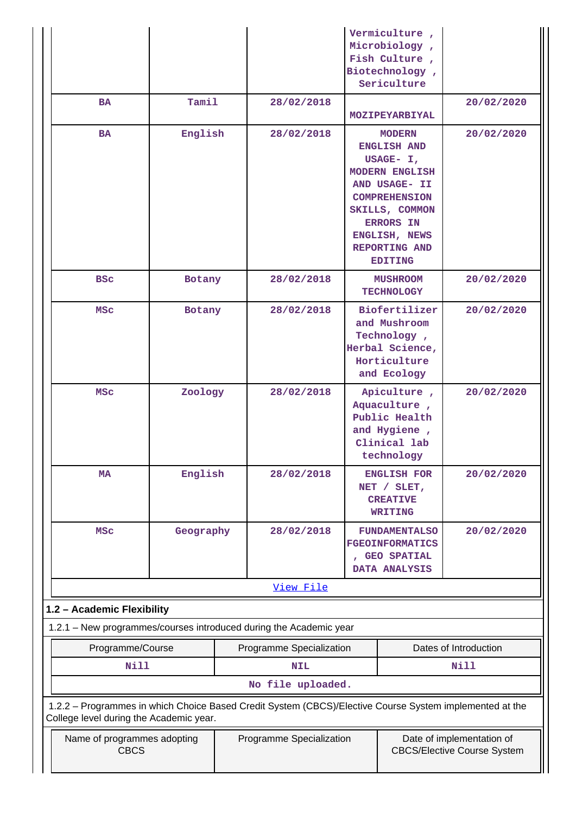| Programme Specialization<br>Date of implementation of<br>Name of programmes adopting<br><b>CBCS</b><br><b>CBCS/Elective Course System</b>          |  |                          |                                                                                  |                                                                                                                                                                                                                                |                          |
|----------------------------------------------------------------------------------------------------------------------------------------------------|--|--------------------------|----------------------------------------------------------------------------------|--------------------------------------------------------------------------------------------------------------------------------------------------------------------------------------------------------------------------------|--------------------------|
| 1.2.2 - Programmes in which Choice Based Credit System (CBCS)/Elective Course System implemented at the<br>College level during the Academic year. |  |                          |                                                                                  |                                                                                                                                                                                                                                |                          |
|                                                                                                                                                    |  | No file uploaded.        |                                                                                  |                                                                                                                                                                                                                                |                          |
| <b>Nill</b>                                                                                                                                        |  | <b>NIL</b>               |                                                                                  |                                                                                                                                                                                                                                | Nill                     |
| Programme/Course                                                                                                                                   |  | Programme Specialization |                                                                                  |                                                                                                                                                                                                                                | Dates of Introduction    |
| 1.2.1 - New programmes/courses introduced during the Academic year                                                                                 |  |                          |                                                                                  |                                                                                                                                                                                                                                |                          |
| 1.2 - Academic Flexibility                                                                                                                         |  |                          |                                                                                  |                                                                                                                                                                                                                                |                          |
|                                                                                                                                                    |  | View File                |                                                                                  |                                                                                                                                                                                                                                |                          |
|                                                                                                                                                    |  |                          | <b>FUNDAMENTALSO</b><br><b>FGEOINFORMATICS</b><br>, GEO SPATIAL<br>DATA ANALYSIS |                                                                                                                                                                                                                                |                          |
| English<br><b>MA</b><br><b>MSC</b><br>Geography                                                                                                    |  | 28/02/2018<br>28/02/2018 |                                                                                  | <b>ENGLISH FOR</b><br>NET / SLET,<br><b>CREATIVE</b><br><b>WRITING</b>                                                                                                                                                         | 20/02/2020<br>20/02/2020 |
| MSC<br>Zoology                                                                                                                                     |  | 28/02/2018               |                                                                                  | Apiculture,<br>Aquaculture,<br>Public Health<br>and Hygiene,<br>Clinical lab<br>technology                                                                                                                                     | 20/02/2020               |
| <b>MSC</b><br>Botany                                                                                                                               |  | 28/02/2018               |                                                                                  | Biofertilizer<br>and Mushroom<br>Technology,<br>Herbal Science,<br>Horticulture<br>and Ecology                                                                                                                                 | 20/02/2020               |
| <b>BSC</b><br>Botany                                                                                                                               |  | 28/02/2018               |                                                                                  | <b>MUSHROOM</b><br><b>TECHNOLOGY</b>                                                                                                                                                                                           | 20/02/2020               |
| Tamil<br><b>BA</b><br>English<br><b>BA</b>                                                                                                         |  | 28/02/2018<br>28/02/2018 |                                                                                  | MOZIPEYARBIYAL<br><b>MODERN</b><br><b>ENGLISH AND</b><br>USAGE- I,<br><b>MODERN ENGLISH</b><br>AND USAGE- II<br><b>COMPREHENSION</b><br>SKILLS, COMMON<br><b>ERRORS IN</b><br>ENGLISH, NEWS<br>REPORTING AND<br><b>EDITING</b> | 20/02/2020<br>20/02/2020 |
|                                                                                                                                                    |  |                          |                                                                                  | Vermiculture,<br>Microbiology,<br>Fish Culture,<br>Biotechnology,<br>Sericulture                                                                                                                                               |                          |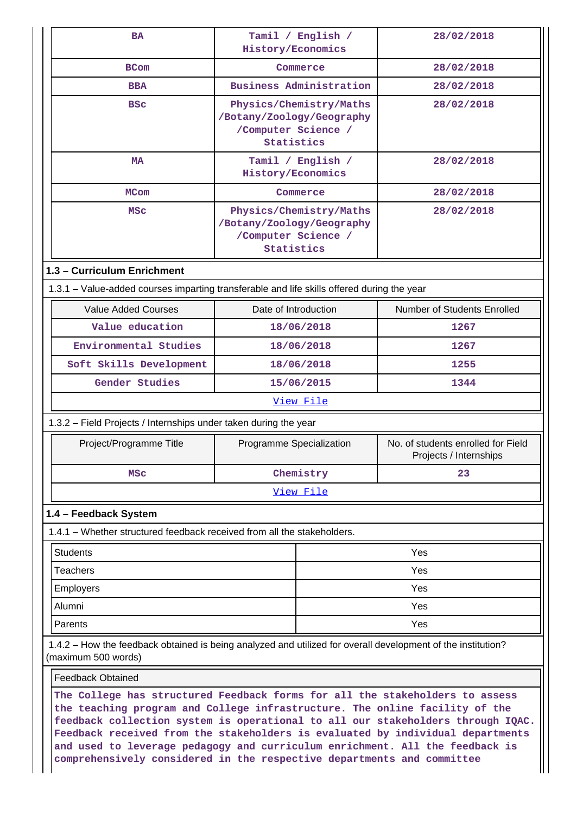| <b>BA</b>                                                                                                                                                                                                                                                                                                                        | Tamil / English /                                                                         | 28/02/2018                                                   |  |
|----------------------------------------------------------------------------------------------------------------------------------------------------------------------------------------------------------------------------------------------------------------------------------------------------------------------------------|-------------------------------------------------------------------------------------------|--------------------------------------------------------------|--|
|                                                                                                                                                                                                                                                                                                                                  | History/Economics                                                                         |                                                              |  |
| <b>BCom</b>                                                                                                                                                                                                                                                                                                                      | Commerce                                                                                  | 28/02/2018                                                   |  |
| <b>BBA</b>                                                                                                                                                                                                                                                                                                                       | <b>Business Administration</b>                                                            | 28/02/2018                                                   |  |
| <b>BSC</b>                                                                                                                                                                                                                                                                                                                       | Physics/Chemistry/Maths<br>/Botany/Zoology/Geography<br>/Computer Science /<br>Statistics | 28/02/2018                                                   |  |
| <b>MA</b>                                                                                                                                                                                                                                                                                                                        | Tamil / English /<br>History/Economics                                                    | 28/02/2018                                                   |  |
| <b>MCom</b>                                                                                                                                                                                                                                                                                                                      | Commerce                                                                                  | 28/02/2018                                                   |  |
| <b>MSC</b>                                                                                                                                                                                                                                                                                                                       | Physics/Chemistry/Maths<br>/Botany/Zoology/Geography<br>/Computer Science /<br>Statistics | 28/02/2018                                                   |  |
| 1.3 - Curriculum Enrichment                                                                                                                                                                                                                                                                                                      |                                                                                           |                                                              |  |
| 1.3.1 – Value-added courses imparting transferable and life skills offered during the year                                                                                                                                                                                                                                       |                                                                                           |                                                              |  |
| <b>Value Added Courses</b>                                                                                                                                                                                                                                                                                                       | Date of Introduction                                                                      | Number of Students Enrolled                                  |  |
| Value education                                                                                                                                                                                                                                                                                                                  | 18/06/2018                                                                                | 1267                                                         |  |
| Environmental Studies                                                                                                                                                                                                                                                                                                            | 18/06/2018                                                                                | 1267                                                         |  |
| Soft Skills Development                                                                                                                                                                                                                                                                                                          | 18/06/2018                                                                                | 1255                                                         |  |
| Gender Studies                                                                                                                                                                                                                                                                                                                   | 15/06/2015                                                                                | 1344                                                         |  |
|                                                                                                                                                                                                                                                                                                                                  | View File                                                                                 |                                                              |  |
| 1.3.2 - Field Projects / Internships under taken during the year                                                                                                                                                                                                                                                                 |                                                                                           |                                                              |  |
| Project/Programme Title                                                                                                                                                                                                                                                                                                          | Programme Specialization                                                                  | No. of students enrolled for Field<br>Projects / Internships |  |
| MSC                                                                                                                                                                                                                                                                                                                              | Chemistry                                                                                 | 23                                                           |  |
|                                                                                                                                                                                                                                                                                                                                  | View File                                                                                 |                                                              |  |
| 1.4 - Feedback System                                                                                                                                                                                                                                                                                                            |                                                                                           |                                                              |  |
| 1.4.1 - Whether structured feedback received from all the stakeholders.                                                                                                                                                                                                                                                          |                                                                                           |                                                              |  |
| <b>Students</b>                                                                                                                                                                                                                                                                                                                  |                                                                                           | Yes                                                          |  |
| Teachers                                                                                                                                                                                                                                                                                                                         |                                                                                           | Yes                                                          |  |
| <b>Employers</b>                                                                                                                                                                                                                                                                                                                 |                                                                                           | Yes                                                          |  |
| Alumni                                                                                                                                                                                                                                                                                                                           |                                                                                           | Yes                                                          |  |
| Parents                                                                                                                                                                                                                                                                                                                          |                                                                                           | Yes                                                          |  |
| 1.4.2 - How the feedback obtained is being analyzed and utilized for overall development of the institution?<br>(maximum 500 words)                                                                                                                                                                                              |                                                                                           |                                                              |  |
| <b>Feedback Obtained</b>                                                                                                                                                                                                                                                                                                         |                                                                                           |                                                              |  |
| The College has structured Feedback forms for all the stakeholders to assess<br>the teaching program and College infrastructure. The online facility of the<br>feedback collection system is operational to all our stakeholders through IQAC.<br>Feedback received from the stakeholders is evaluated by individual departments |                                                                                           |                                                              |  |

**and used to leverage pedagogy and curriculum enrichment. All the feedback is**

║

**comprehensively considered in the respective departments and committee**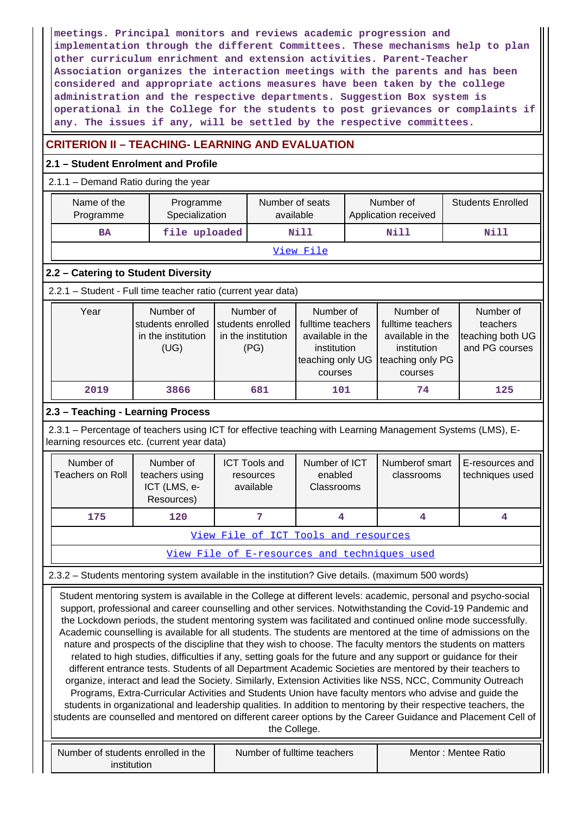**meetings. Principal monitors and reviews academic progression and implementation through the different Committees. These mechanisms help to plan other curriculum enrichment and extension activities. Parent-Teacher Association organizes the interaction meetings with the parents and has been considered and appropriate actions measures have been taken by the college administration and the respective departments. Suggestion Box system is operational in the College for the students to post grievances or complaints if any. The issues if any, will be settled by the respective committees.**

## **CRITERION II – TEACHING- LEARNING AND EVALUATION**

### **2.1 – Student Enrolment and Profile**

### 2.1.1 – Demand Ratio during the year

| Name of the<br>Programme                                                                                                                                                                                                                                                                                                                                                                                                                                                                                                                                                                                                                                                                                                                                                                                                                                                                                                                                                                                                                                                                                                                                                                                                                                                                                                                                                                       | Programme<br>Specialization                               |  | Number of seats<br>available                                                                                                                                     |                                        |  | Number of<br>Application received                                                                |  | <b>Students Enrolled</b>                                    |  |  |  |
|------------------------------------------------------------------------------------------------------------------------------------------------------------------------------------------------------------------------------------------------------------------------------------------------------------------------------------------------------------------------------------------------------------------------------------------------------------------------------------------------------------------------------------------------------------------------------------------------------------------------------------------------------------------------------------------------------------------------------------------------------------------------------------------------------------------------------------------------------------------------------------------------------------------------------------------------------------------------------------------------------------------------------------------------------------------------------------------------------------------------------------------------------------------------------------------------------------------------------------------------------------------------------------------------------------------------------------------------------------------------------------------------|-----------------------------------------------------------|--|------------------------------------------------------------------------------------------------------------------------------------------------------------------|----------------------------------------|--|--------------------------------------------------------------------------------------------------|--|-------------------------------------------------------------|--|--|--|
| <b>BA</b>                                                                                                                                                                                                                                                                                                                                                                                                                                                                                                                                                                                                                                                                                                                                                                                                                                                                                                                                                                                                                                                                                                                                                                                                                                                                                                                                                                                      | file uploaded                                             |  |                                                                                                                                                                  | Nill                                   |  | Nill                                                                                             |  | Nill                                                        |  |  |  |
|                                                                                                                                                                                                                                                                                                                                                                                                                                                                                                                                                                                                                                                                                                                                                                                                                                                                                                                                                                                                                                                                                                                                                                                                                                                                                                                                                                                                |                                                           |  |                                                                                                                                                                  | View File                              |  |                                                                                                  |  |                                                             |  |  |  |
| 2.2 - Catering to Student Diversity                                                                                                                                                                                                                                                                                                                                                                                                                                                                                                                                                                                                                                                                                                                                                                                                                                                                                                                                                                                                                                                                                                                                                                                                                                                                                                                                                            |                                                           |  |                                                                                                                                                                  |                                        |  |                                                                                                  |  |                                                             |  |  |  |
| 2.2.1 - Student - Full time teacher ratio (current year data)                                                                                                                                                                                                                                                                                                                                                                                                                                                                                                                                                                                                                                                                                                                                                                                                                                                                                                                                                                                                                                                                                                                                                                                                                                                                                                                                  |                                                           |  |                                                                                                                                                                  |                                        |  |                                                                                                  |  |                                                             |  |  |  |
| Year<br>Number of<br>students enrolled<br>in the institution<br>(UG)                                                                                                                                                                                                                                                                                                                                                                                                                                                                                                                                                                                                                                                                                                                                                                                                                                                                                                                                                                                                                                                                                                                                                                                                                                                                                                                           |                                                           |  | Number of<br>Number of<br>students enrolled<br>fulltime teachers<br>in the institution<br>available in the<br>(PG)<br>institution<br>teaching only UG<br>courses |                                        |  | Number of<br>fulltime teachers<br>available in the<br>institution<br>teaching only PG<br>courses |  | Number of<br>teachers<br>teaching both UG<br>and PG courses |  |  |  |
| 2019                                                                                                                                                                                                                                                                                                                                                                                                                                                                                                                                                                                                                                                                                                                                                                                                                                                                                                                                                                                                                                                                                                                                                                                                                                                                                                                                                                                           | 3866                                                      |  | 681                                                                                                                                                              | 101                                    |  | 74                                                                                               |  | 125                                                         |  |  |  |
| 2.3 - Teaching - Learning Process                                                                                                                                                                                                                                                                                                                                                                                                                                                                                                                                                                                                                                                                                                                                                                                                                                                                                                                                                                                                                                                                                                                                                                                                                                                                                                                                                              |                                                           |  |                                                                                                                                                                  |                                        |  |                                                                                                  |  |                                                             |  |  |  |
| 2.3.1 - Percentage of teachers using ICT for effective teaching with Learning Management Systems (LMS), E-<br>learning resources etc. (current year data)                                                                                                                                                                                                                                                                                                                                                                                                                                                                                                                                                                                                                                                                                                                                                                                                                                                                                                                                                                                                                                                                                                                                                                                                                                      |                                                           |  |                                                                                                                                                                  |                                        |  |                                                                                                  |  |                                                             |  |  |  |
| Number of<br><b>Teachers on Roll</b>                                                                                                                                                                                                                                                                                                                                                                                                                                                                                                                                                                                                                                                                                                                                                                                                                                                                                                                                                                                                                                                                                                                                                                                                                                                                                                                                                           | Number of<br>teachers using<br>ICT (LMS, e-<br>Resources) |  | <b>ICT Tools and</b><br>resources<br>available                                                                                                                   | Number of ICT<br>enabled<br>Classrooms |  | Numberof smart<br>classrooms                                                                     |  | E-resources and<br>techniques used                          |  |  |  |
| 175                                                                                                                                                                                                                                                                                                                                                                                                                                                                                                                                                                                                                                                                                                                                                                                                                                                                                                                                                                                                                                                                                                                                                                                                                                                                                                                                                                                            | 120                                                       |  | 7                                                                                                                                                                | 4                                      |  | 4                                                                                                |  | 4                                                           |  |  |  |
|                                                                                                                                                                                                                                                                                                                                                                                                                                                                                                                                                                                                                                                                                                                                                                                                                                                                                                                                                                                                                                                                                                                                                                                                                                                                                                                                                                                                |                                                           |  |                                                                                                                                                                  | View File of ICT Tools and resources   |  |                                                                                                  |  |                                                             |  |  |  |
|                                                                                                                                                                                                                                                                                                                                                                                                                                                                                                                                                                                                                                                                                                                                                                                                                                                                                                                                                                                                                                                                                                                                                                                                                                                                                                                                                                                                |                                                           |  |                                                                                                                                                                  |                                        |  | View File of E-resources and techniques used                                                     |  |                                                             |  |  |  |
|                                                                                                                                                                                                                                                                                                                                                                                                                                                                                                                                                                                                                                                                                                                                                                                                                                                                                                                                                                                                                                                                                                                                                                                                                                                                                                                                                                                                |                                                           |  |                                                                                                                                                                  |                                        |  |                                                                                                  |  |                                                             |  |  |  |
| 2.3.2 - Students mentoring system available in the institution? Give details. (maximum 500 words)<br>Student mentoring system is available in the College at different levels: academic, personal and psycho-social<br>support, professional and career counselling and other services. Notwithstanding the Covid-19 Pandemic and<br>the Lockdown periods, the student mentoring system was facilitated and continued online mode successfully.<br>Academic counselling is available for all students. The students are mentored at the time of admissions on the<br>nature and prospects of the discipline that they wish to choose. The faculty mentors the students on matters<br>related to high studies, difficulties if any, setting goals for the future and any support or guidance for their<br>different entrance tests. Students of all Department Academic Societies are mentored by their teachers to<br>organize, interact and lead the Society. Similarly, Extension Activities like NSS, NCC, Community Outreach<br>Programs, Extra-Curricular Activities and Students Union have faculty mentors who advise and guide the<br>students in organizational and leadership qualities. In addition to mentoring by their respective teachers, the<br>students are counselled and mentored on different career options by the Career Guidance and Placement Cell of<br>the College. |                                                           |  |                                                                                                                                                                  |                                        |  |                                                                                                  |  |                                                             |  |  |  |
| Number of students enrolled in the<br>institution                                                                                                                                                                                                                                                                                                                                                                                                                                                                                                                                                                                                                                                                                                                                                                                                                                                                                                                                                                                                                                                                                                                                                                                                                                                                                                                                              |                                                           |  |                                                                                                                                                                  | Number of fulltime teachers            |  |                                                                                                  |  | Mentor: Mentee Ratio                                        |  |  |  |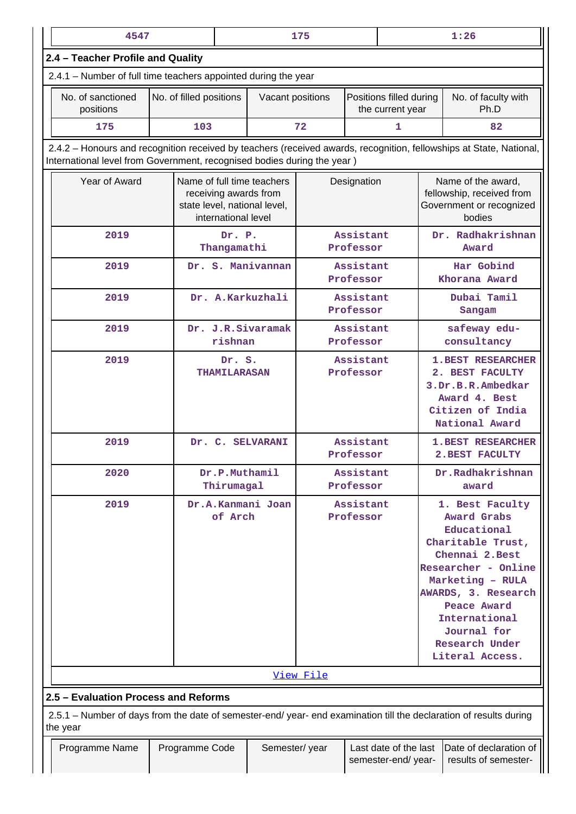| 4547                                                                                                                                                                                           |                         | 175                                         |                                                                                     |                        | 1:26                   |                                             |                                                                                                                                                                                                                                                           |                                                |  |  |  |  |
|------------------------------------------------------------------------------------------------------------------------------------------------------------------------------------------------|-------------------------|---------------------------------------------|-------------------------------------------------------------------------------------|------------------------|------------------------|---------------------------------------------|-----------------------------------------------------------------------------------------------------------------------------------------------------------------------------------------------------------------------------------------------------------|------------------------------------------------|--|--|--|--|
| 2.4 - Teacher Profile and Quality                                                                                                                                                              |                         |                                             |                                                                                     |                        |                        |                                             |                                                                                                                                                                                                                                                           |                                                |  |  |  |  |
| 2.4.1 – Number of full time teachers appointed during the year                                                                                                                                 |                         |                                             |                                                                                     |                        |                        |                                             |                                                                                                                                                                                                                                                           |                                                |  |  |  |  |
| No. of sanctioned<br>positions                                                                                                                                                                 | No. of filled positions |                                             | Vacant positions                                                                    |                        |                        | Positions filled during<br>the current year |                                                                                                                                                                                                                                                           | No. of faculty with<br>Ph.D                    |  |  |  |  |
| 175                                                                                                                                                                                            | 103                     |                                             |                                                                                     | 72                     |                        | 1<br>82                                     |                                                                                                                                                                                                                                                           |                                                |  |  |  |  |
| 2.4.2 - Honours and recognition received by teachers (received awards, recognition, fellowships at State, National,<br>International level from Government, recognised bodies during the year) |                         |                                             |                                                                                     |                        |                        |                                             |                                                                                                                                                                                                                                                           |                                                |  |  |  |  |
| Year of Award                                                                                                                                                                                  |                         | international level                         | Name of full time teachers<br>receiving awards from<br>state level, national level, |                        | Designation            |                                             | Name of the award,<br>fellowship, received from<br>Government or recognized<br>bodies                                                                                                                                                                     |                                                |  |  |  |  |
| 2019                                                                                                                                                                                           |                         | Dr. P.<br>Thangamathi                       |                                                                                     |                        | Assistant<br>Professor |                                             |                                                                                                                                                                                                                                                           | Dr. Radhakrishnan<br>Award                     |  |  |  |  |
| 2019                                                                                                                                                                                           |                         |                                             | Dr. S. Manivannan                                                                   |                        | Assistant<br>Professor |                                             |                                                                                                                                                                                                                                                           | Har Gobind<br>Khorana Award                    |  |  |  |  |
| 2019                                                                                                                                                                                           |                         |                                             | Dr. A.Karkuzhali                                                                    |                        | Assistant<br>Professor |                                             |                                                                                                                                                                                                                                                           | Dubai Tamil<br>Sangam                          |  |  |  |  |
| 2019                                                                                                                                                                                           |                         | rishnan                                     | Dr. J.R.Sivaramak                                                                   | Assistant<br>Professor |                        |                                             | safeway edu-<br>consultancy                                                                                                                                                                                                                               |                                                |  |  |  |  |
| 2019                                                                                                                                                                                           | <b>THAMILARASAN</b>     |                                             |                                                                                     |                        | Assistant<br>Professor |                                             | <b>1.BEST RESEARCHER</b><br>2. BEST FACULTY<br>3.Dr.B.R.Ambedkar<br>Award 4. Best<br>Citizen of India<br>National Award                                                                                                                                   |                                                |  |  |  |  |
| 2019                                                                                                                                                                                           |                         |                                             | Dr. C. SELVARANI                                                                    | Assistant<br>Professor |                        |                                             |                                                                                                                                                                                                                                                           | <b>1.BEST RESEARCHER</b><br>2. BEST FACULTY    |  |  |  |  |
| 2020                                                                                                                                                                                           |                         | Dr.P.Muthamil<br>Thirumagal                 |                                                                                     | Assistant<br>Professor |                        |                                             | Dr.Radhakrishnan<br>award                                                                                                                                                                                                                                 |                                                |  |  |  |  |
| 2019                                                                                                                                                                                           | of Arch                 | Dr.A.Kanmani Joan<br>Assistant<br>Professor |                                                                                     |                        |                        |                                             | 1. Best Faculty<br><b>Award Grabs</b><br>Educational<br>Charitable Trust,<br>Chennai 2. Best<br>Researcher - Online<br>Marketing - RULA<br>AWARDS, 3. Research<br>Peace Award<br>International<br>Journal for<br><b>Research Under</b><br>Literal Access. |                                                |  |  |  |  |
|                                                                                                                                                                                                |                         |                                             |                                                                                     | View File              |                        |                                             |                                                                                                                                                                                                                                                           |                                                |  |  |  |  |
| 2.5 - Evaluation Process and Reforms                                                                                                                                                           |                         |                                             |                                                                                     |                        |                        |                                             |                                                                                                                                                                                                                                                           |                                                |  |  |  |  |
| 2.5.1 – Number of days from the date of semester-end/ year- end examination till the declaration of results during<br>the year                                                                 |                         |                                             |                                                                                     |                        |                        |                                             |                                                                                                                                                                                                                                                           |                                                |  |  |  |  |
| Programme Name                                                                                                                                                                                 | Programme Code          |                                             | Semester/year                                                                       |                        |                        | Last date of the last<br>semester-end/year- |                                                                                                                                                                                                                                                           | Date of declaration of<br>results of semester- |  |  |  |  |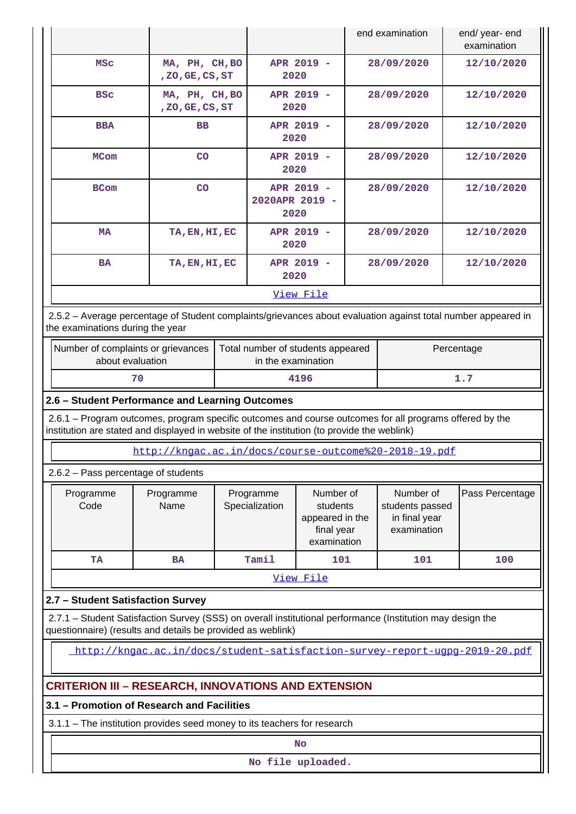|                                                                                                                                                                                                        |                                |  |                             |                                                                       |  | end examination                                              | end/ year- end<br>examination |  |  |  |
|--------------------------------------------------------------------------------------------------------------------------------------------------------------------------------------------------------|--------------------------------|--|-----------------------------|-----------------------------------------------------------------------|--|--------------------------------------------------------------|-------------------------------|--|--|--|
| <b>MSC</b>                                                                                                                                                                                             | MA, PH, CH, BO<br>,ZO,GE,CS,ST |  | 2020                        | APR 2019 -                                                            |  | 28/09/2020                                                   | 12/10/2020                    |  |  |  |
| <b>BSC</b>                                                                                                                                                                                             | MA, PH, CH, BO<br>,ZO,GE,CS,ST |  | 2020                        | APR 2019 -                                                            |  | 28/09/2020                                                   | 12/10/2020                    |  |  |  |
| <b>BBA</b>                                                                                                                                                                                             | <b>BB</b>                      |  | 2020                        | APR 2019 -                                                            |  | 28/09/2020                                                   | 12/10/2020                    |  |  |  |
| <b>MCom</b>                                                                                                                                                                                            | <b>CO</b>                      |  | 2020                        | APR 2019 -                                                            |  | 28/09/2020                                                   | 12/10/2020                    |  |  |  |
| <b>BCom</b>                                                                                                                                                                                            | CO                             |  | 2020APR 2019 -<br>2020      | APR 2019 -                                                            |  | 28/09/2020                                                   | 12/10/2020                    |  |  |  |
| <b>MA</b>                                                                                                                                                                                              | TA, EN, HI, EC                 |  | 2020                        | APR 2019 -                                                            |  | 28/09/2020                                                   | 12/10/2020                    |  |  |  |
| <b>BA</b>                                                                                                                                                                                              | TA, EN, HI, EC                 |  | 2020                        | APR 2019 -                                                            |  | 28/09/2020                                                   | 12/10/2020                    |  |  |  |
|                                                                                                                                                                                                        |                                |  |                             | View File                                                             |  |                                                              |                               |  |  |  |
| 2.5.2 - Average percentage of Student complaints/grievances about evaluation against total number appeared in<br>the examinations during the year                                                      |                                |  |                             |                                                                       |  |                                                              |                               |  |  |  |
| Number of complaints or grievances<br>Percentage<br>Total number of students appeared<br>about evaluation<br>in the examination                                                                        |                                |  |                             |                                                                       |  |                                                              |                               |  |  |  |
| 70                                                                                                                                                                                                     |                                |  |                             | 4196                                                                  |  |                                                              | 1.7                           |  |  |  |
| 2.6 - Student Performance and Learning Outcomes                                                                                                                                                        |                                |  |                             |                                                                       |  |                                                              |                               |  |  |  |
| 2.6.1 – Program outcomes, program specific outcomes and course outcomes for all programs offered by the<br>institution are stated and displayed in website of the institution (to provide the weblink) |                                |  |                             |                                                                       |  |                                                              |                               |  |  |  |
|                                                                                                                                                                                                        |                                |  |                             |                                                                       |  | http://kngac.ac.in/docs/course-outcome%20-2018-19.pdf        |                               |  |  |  |
| 2.6.2 - Pass percentage of students                                                                                                                                                                    |                                |  |                             |                                                                       |  |                                                              |                               |  |  |  |
| Programme<br>Code                                                                                                                                                                                      | Programme<br>Name              |  | Programme<br>Specialization | Number of<br>students<br>appeared in the<br>final year<br>examination |  | Number of<br>students passed<br>in final year<br>examination | Pass Percentage               |  |  |  |
| TA                                                                                                                                                                                                     | <b>BA</b>                      |  | Tamil                       | 101                                                                   |  | 101                                                          | 100                           |  |  |  |
|                                                                                                                                                                                                        |                                |  |                             | View File                                                             |  |                                                              |                               |  |  |  |
| 2.7 - Student Satisfaction Survey                                                                                                                                                                      |                                |  |                             |                                                                       |  |                                                              |                               |  |  |  |
| 2.7.1 - Student Satisfaction Survey (SSS) on overall institutional performance (Institution may design the<br>questionnaire) (results and details be provided as weblink)                              |                                |  |                             |                                                                       |  |                                                              |                               |  |  |  |
| http://kngac.ac.in/docs/student-satisfaction-survey-report-ugpg-2019-20.pdf                                                                                                                            |                                |  |                             |                                                                       |  |                                                              |                               |  |  |  |
| <b>CRITERION III - RESEARCH, INNOVATIONS AND EXTENSION</b>                                                                                                                                             |                                |  |                             |                                                                       |  |                                                              |                               |  |  |  |
| 3.1 - Promotion of Research and Facilities                                                                                                                                                             |                                |  |                             |                                                                       |  |                                                              |                               |  |  |  |
| 3.1.1 - The institution provides seed money to its teachers for research                                                                                                                               |                                |  |                             |                                                                       |  |                                                              |                               |  |  |  |
|                                                                                                                                                                                                        |                                |  |                             | <b>No</b>                                                             |  |                                                              |                               |  |  |  |
|                                                                                                                                                                                                        |                                |  |                             | No file uploaded.                                                     |  |                                                              |                               |  |  |  |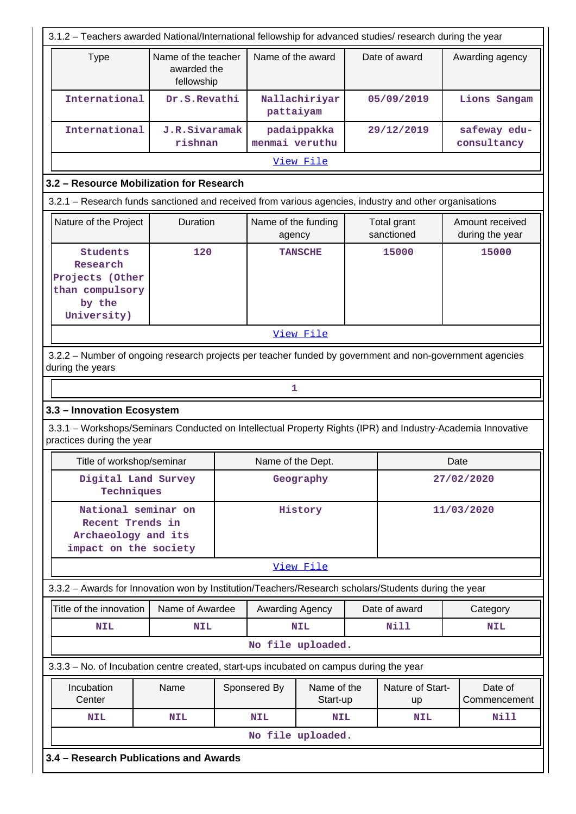| 3.1.2 - Teachers awarded National/International fellowship for advanced studies/ research during the year                                |                                                  |  |                   |                         |  |                               |      |                             |  |  |  |
|------------------------------------------------------------------------------------------------------------------------------------------|--------------------------------------------------|--|-------------------|-------------------------|--|-------------------------------|------|-----------------------------|--|--|--|
| <b>Type</b>                                                                                                                              | Name of the teacher<br>awarded the<br>fellowship |  | Name of the award |                         |  | Date of award                 |      | Awarding agency             |  |  |  |
| International                                                                                                                            | Dr.S.Revathi                                     |  | pattaiyam         | Nallachiriyar           |  | 05/09/2019                    |      | Lions Sangam                |  |  |  |
| International                                                                                                                            | J.R.Sivaramak<br>rishnan                         |  | menmai veruthu    | padaippakka             |  | 29/12/2019                    |      | safeway edu-<br>consultancy |  |  |  |
|                                                                                                                                          |                                                  |  |                   | View File               |  |                               |      |                             |  |  |  |
| 3.2 - Resource Mobilization for Research                                                                                                 |                                                  |  |                   |                         |  |                               |      |                             |  |  |  |
| 3.2.1 - Research funds sanctioned and received from various agencies, industry and other organisations                                   |                                                  |  |                   |                         |  |                               |      |                             |  |  |  |
| Nature of the Project<br>Duration<br>Name of the funding<br>Amount received<br>Total grant<br>sanctioned<br>during the year<br>agency    |                                                  |  |                   |                         |  |                               |      |                             |  |  |  |
| Students<br>Research<br>Projects (Other<br>than compulsory<br>by the<br>University)                                                      | 120                                              |  |                   | <b>TANSCHE</b>          |  | 15000                         |      | 15000                       |  |  |  |
|                                                                                                                                          |                                                  |  |                   | View File               |  |                               |      |                             |  |  |  |
| 3.2.2 - Number of ongoing research projects per teacher funded by government and non-government agencies<br>during the years             |                                                  |  |                   |                         |  |                               |      |                             |  |  |  |
|                                                                                                                                          |                                                  |  | 1                 |                         |  |                               |      |                             |  |  |  |
| 3.3 - Innovation Ecosystem                                                                                                               |                                                  |  |                   |                         |  |                               |      |                             |  |  |  |
| 3.3.1 - Workshops/Seminars Conducted on Intellectual Property Rights (IPR) and Industry-Academia Innovative<br>practices during the year |                                                  |  |                   |                         |  |                               |      |                             |  |  |  |
| Title of workshop/seminar                                                                                                                |                                                  |  | Name of the Dept. |                         |  |                               | Date |                             |  |  |  |
| Digital Land Survey<br>Techniques                                                                                                        |                                                  |  |                   | Geography               |  |                               |      | 27/02/2020                  |  |  |  |
| National seminar on<br>Recent Trends in<br>Archaeology and its<br>impact on the society                                                  |                                                  |  |                   | History                 |  |                               |      | 11/03/2020                  |  |  |  |
|                                                                                                                                          |                                                  |  |                   | View File               |  |                               |      |                             |  |  |  |
| 3.3.2 - Awards for Innovation won by Institution/Teachers/Research scholars/Students during the year                                     |                                                  |  |                   |                         |  |                               |      |                             |  |  |  |
| Title of the innovation                                                                                                                  | Name of Awardee                                  |  | Awarding Agency   |                         |  | Date of award                 |      | Category                    |  |  |  |
| <b>NIL</b>                                                                                                                               | <b>NIL</b>                                       |  |                   | <b>NIL</b>              |  | <b>Nill</b>                   |      | <b>NIL</b>                  |  |  |  |
|                                                                                                                                          |                                                  |  | No file uploaded. |                         |  |                               |      |                             |  |  |  |
| 3.3.3 - No. of Incubation centre created, start-ups incubated on campus during the year                                                  |                                                  |  |                   |                         |  |                               |      |                             |  |  |  |
| Incubation<br>Center                                                                                                                     | Name                                             |  | Sponsered By      | Name of the<br>Start-up |  | Nature of Start-<br><b>up</b> |      | Date of<br>Commencement     |  |  |  |
| <b>NIL</b>                                                                                                                               | <b>NIL</b>                                       |  | <b>NIL</b>        | <b>NIL</b>              |  | <b>NIL</b>                    |      | <b>Nill</b>                 |  |  |  |
|                                                                                                                                          |                                                  |  | No file uploaded. |                         |  |                               |      |                             |  |  |  |
| 3.4 - Research Publications and Awards                                                                                                   |                                                  |  |                   |                         |  |                               |      |                             |  |  |  |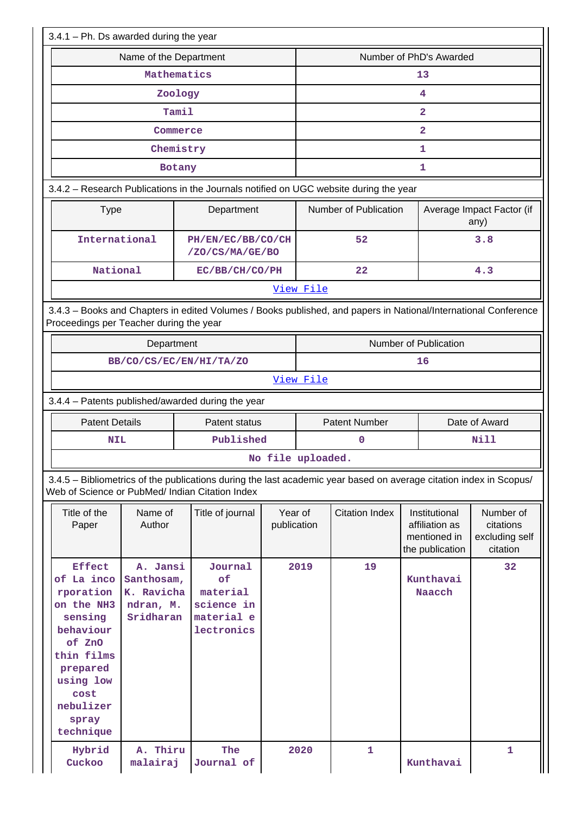| $3.4.1$ – Ph. Ds awarded during the year                                                                                                                                   |                                                                                                                                       |                                                                                                                    |                        |                         |                         |                                                                    |                                                      |  |  |  |
|----------------------------------------------------------------------------------------------------------------------------------------------------------------------------|---------------------------------------------------------------------------------------------------------------------------------------|--------------------------------------------------------------------------------------------------------------------|------------------------|-------------------------|-------------------------|--------------------------------------------------------------------|------------------------------------------------------|--|--|--|
|                                                                                                                                                                            | Name of the Department                                                                                                                |                                                                                                                    |                        | Number of PhD's Awarded |                         |                                                                    |                                                      |  |  |  |
|                                                                                                                                                                            | Mathematics                                                                                                                           |                                                                                                                    |                        | 13                      |                         |                                                                    |                                                      |  |  |  |
|                                                                                                                                                                            | Zoology                                                                                                                               |                                                                                                                    |                        | 4                       |                         |                                                                    |                                                      |  |  |  |
|                                                                                                                                                                            | Tamil                                                                                                                                 |                                                                                                                    |                        | $\overline{\mathbf{2}}$ |                         |                                                                    |                                                      |  |  |  |
|                                                                                                                                                                            | Commerce                                                                                                                              |                                                                                                                    |                        |                         | $\overline{\mathbf{2}}$ |                                                                    |                                                      |  |  |  |
|                                                                                                                                                                            | Chemistry                                                                                                                             |                                                                                                                    |                        |                         |                         | 1                                                                  |                                                      |  |  |  |
|                                                                                                                                                                            | Botany                                                                                                                                |                                                                                                                    |                        |                         | 1                       |                                                                    |                                                      |  |  |  |
|                                                                                                                                                                            |                                                                                                                                       | 3.4.2 - Research Publications in the Journals notified on UGC website during the year                              |                        |                         |                         |                                                                    |                                                      |  |  |  |
| <b>Type</b>                                                                                                                                                                |                                                                                                                                       | Department                                                                                                         |                        |                         | Number of Publication   |                                                                    | Average Impact Factor (if<br>any)                    |  |  |  |
| International                                                                                                                                                              |                                                                                                                                       | PH/EN/EC/BB/CO/CH<br>/ZO/CS/MA/GE/BO                                                                               |                        |                         | 52                      |                                                                    | 3.8                                                  |  |  |  |
| National                                                                                                                                                                   |                                                                                                                                       | EC/BB/CH/CO/PH                                                                                                     |                        |                         | 22                      |                                                                    | 4.3                                                  |  |  |  |
|                                                                                                                                                                            |                                                                                                                                       |                                                                                                                    |                        | View File               |                         |                                                                    |                                                      |  |  |  |
| Proceedings per Teacher during the year                                                                                                                                    |                                                                                                                                       | 3.4.3 - Books and Chapters in edited Volumes / Books published, and papers in National/International Conference    |                        |                         |                         |                                                                    |                                                      |  |  |  |
|                                                                                                                                                                            | Department                                                                                                                            |                                                                                                                    |                        | Number of Publication   |                         |                                                                    |                                                      |  |  |  |
|                                                                                                                                                                            |                                                                                                                                       | BB/CO/CS/EC/EN/HI/TA/ZO                                                                                            |                        | 16                      |                         |                                                                    |                                                      |  |  |  |
|                                                                                                                                                                            |                                                                                                                                       |                                                                                                                    |                        | View File               |                         |                                                                    |                                                      |  |  |  |
|                                                                                                                                                                            |                                                                                                                                       | 3.4.4 - Patents published/awarded during the year                                                                  |                        |                         |                         |                                                                    |                                                      |  |  |  |
| <b>Patent Details</b>                                                                                                                                                      |                                                                                                                                       | Patent status                                                                                                      |                        |                         | <b>Patent Number</b>    |                                                                    | Date of Award                                        |  |  |  |
| <b>NIL</b>                                                                                                                                                                 |                                                                                                                                       | Published                                                                                                          |                        |                         | 0                       |                                                                    | Nill                                                 |  |  |  |
|                                                                                                                                                                            |                                                                                                                                       |                                                                                                                    | No file uploaded.      |                         |                         |                                                                    |                                                      |  |  |  |
| Web of Science or PubMed/ Indian Citation Index                                                                                                                            |                                                                                                                                       | 3.4.5 - Bibliometrics of the publications during the last academic year based on average citation index in Scopus/ |                        |                         |                         |                                                                    |                                                      |  |  |  |
| Title of the<br>Paper                                                                                                                                                      | Name of<br>Author                                                                                                                     | Title of journal                                                                                                   | Year of<br>publication |                         | <b>Citation Index</b>   | Institutional<br>affiliation as<br>mentioned in<br>the publication | Number of<br>citations<br>excluding self<br>citation |  |  |  |
| <b>Effect</b><br>of La inco<br>rporation<br>on the NH3<br>sensing<br>behaviour<br>of ZnO<br>thin films<br>prepared<br>using low<br>cost<br>nebulizer<br>spray<br>technique | A. Jansi<br>Journal<br>of<br>Santhosam,<br>material<br>K. Ravicha<br>science in<br>ndran, M.<br>Sridharan<br>material e<br>lectronics |                                                                                                                    | 2019                   |                         | 19                      | Kunthavai<br>Naacch                                                | 32                                                   |  |  |  |
| Hybrid<br>Cuckoo                                                                                                                                                           | A. Thiru<br>malairaj                                                                                                                  | The<br>Journal of                                                                                                  |                        | 2020                    | $\mathbf{1}$            | Kunthavai                                                          | 1                                                    |  |  |  |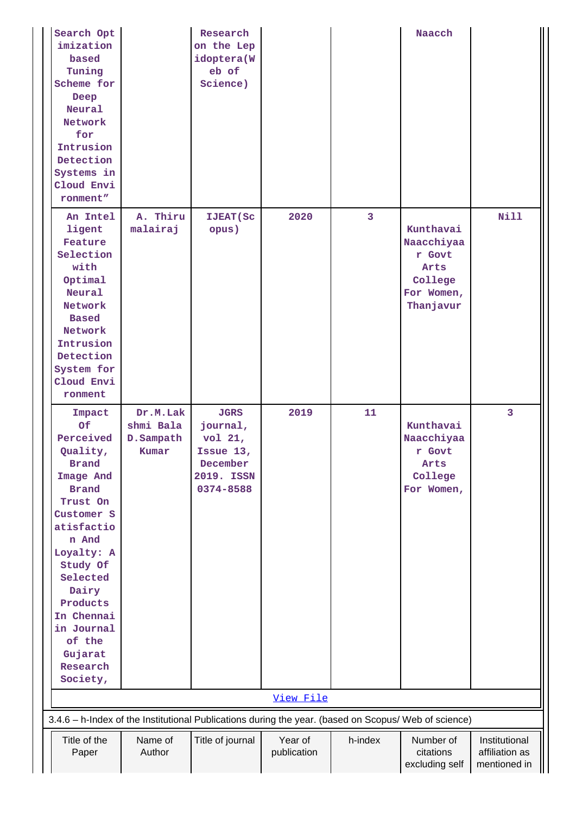| Search Opt<br>imization<br>based<br>Tuning<br>Scheme for<br>Deep<br>Neural<br>Network<br>for<br>Intrusion<br>Detection<br>Systems in<br>Cloud Envi<br>ronment"                                                                                                          |                                             | Research<br>on the Lep<br>idoptera(W<br>eb of<br>Science)                              |                        |                         | Naacch                                                                          |                                                 |
|-------------------------------------------------------------------------------------------------------------------------------------------------------------------------------------------------------------------------------------------------------------------------|---------------------------------------------|----------------------------------------------------------------------------------------|------------------------|-------------------------|---------------------------------------------------------------------------------|-------------------------------------------------|
| An Intel<br>ligent<br>Feature<br>Selection<br>with<br>Optimal<br>Neural<br>Network<br><b>Based</b><br>Network<br>Intrusion<br>Detection<br>System for<br>Cloud Envi<br>ronment                                                                                          | A. Thiru<br>malairaj                        | <b>IJEAT</b> (Sc<br>opus)                                                              | 2020                   | $\overline{\mathbf{3}}$ | Kunthavai<br>Naacchiyaa<br>r Govt<br>Arts<br>College<br>For Women,<br>Thanjavur | Nill                                            |
| Impact<br>Of<br>Perceived<br>Quality,<br><b>Brand</b><br>Image And<br><b>Brand</b><br>Trust On<br>Customer S<br>atisfactio<br>n And<br>Loyalty: A<br>Study Of<br>Selected<br>Dairy<br>Products<br>In Chennai<br>in Journal<br>of the<br>Gujarat<br>Research<br>Society, | Dr.M.Lak<br>shmi Bala<br>D.Sampath<br>Kumar | <b>JGRS</b><br>journal,<br>vol 21,<br>Issue 13,<br>December<br>2019. ISSN<br>0374-8588 | 2019                   | 11                      | Kunthavai<br>Naacchiyaa<br>r Govt<br>Arts<br>College<br>For Women,              | $\overline{\mathbf{3}}$                         |
|                                                                                                                                                                                                                                                                         |                                             |                                                                                        | View File              |                         |                                                                                 |                                                 |
| 3.4.6 - h-Index of the Institutional Publications during the year. (based on Scopus/ Web of science)                                                                                                                                                                    |                                             |                                                                                        |                        |                         |                                                                                 |                                                 |
| Title of the<br>Paper                                                                                                                                                                                                                                                   | Name of<br>Author                           | Title of journal                                                                       | Year of<br>publication | h-index                 | Number of<br>citations<br>excluding self                                        | Institutional<br>affiliation as<br>mentioned in |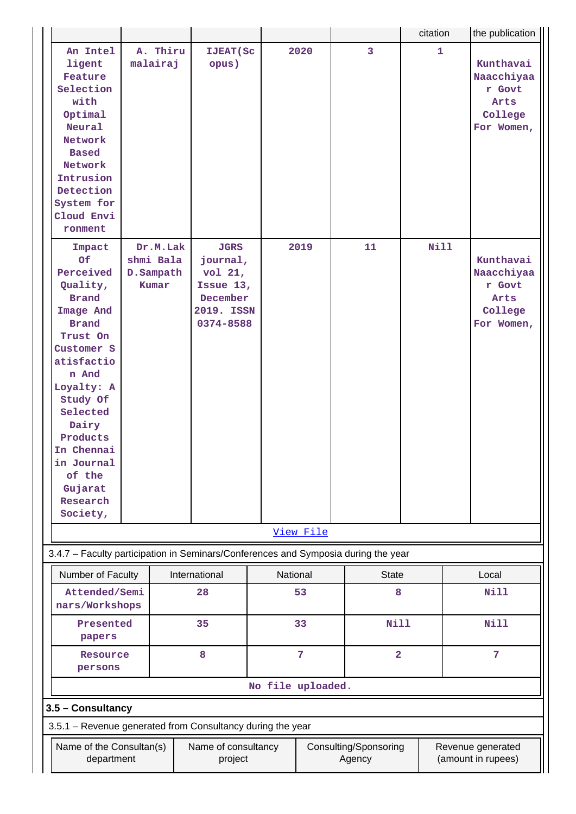|                                                                                                                                                                                                                                                                         |                                                            |          |                                                                                        |                   |           |                                 | citation |  | the publication                                                    |  |  |
|-------------------------------------------------------------------------------------------------------------------------------------------------------------------------------------------------------------------------------------------------------------------------|------------------------------------------------------------|----------|----------------------------------------------------------------------------------------|-------------------|-----------|---------------------------------|----------|--|--------------------------------------------------------------------|--|--|
| An Intel<br>ligent<br>Feature<br>Selection<br>with<br>Optimal<br>Neural<br>Network<br><b>Based</b><br>Network<br>Intrusion<br>Detection<br>System for<br>Cloud Envi<br>ronment                                                                                          | malairaj                                                   | A. Thiru | <b>IJEAT (Sc</b><br>opus)                                                              |                   | 2020      | 3                               | 1        |  | Kunthavai<br>Naacchiyaa<br>r Govt<br>Arts<br>College<br>For Women, |  |  |
| Impact<br>Of<br>Perceived<br>Quality,<br><b>Brand</b><br>Image And<br><b>Brand</b><br>Trust On<br>Customer S<br>atisfactio<br>n And<br>Loyalty: A<br>Study Of<br>Selected<br>Dairy<br>Products<br>In Chennai<br>in Journal<br>of the<br>Gujarat<br>Research<br>Society, | shmi Bala<br>D.Sampath<br>Kumar                            | Dr.M.Lak | <b>JGRS</b><br>journal,<br>vol 21,<br>Issue 13,<br>December<br>2019. ISSN<br>0374-8588 |                   | 2019      | 11                              | Nill     |  | Kunthavai<br>Naacchiyaa<br>r Govt<br>Arts<br>College<br>For Women, |  |  |
|                                                                                                                                                                                                                                                                         |                                                            |          |                                                                                        |                   | View File |                                 |          |  |                                                                    |  |  |
| 3.4.7 - Faculty participation in Seminars/Conferences and Symposia during the year                                                                                                                                                                                      |                                                            |          |                                                                                        |                   |           |                                 |          |  |                                                                    |  |  |
| Number of Faculty                                                                                                                                                                                                                                                       |                                                            |          | International                                                                          |                   | National  | <b>State</b>                    |          |  | Local                                                              |  |  |
| Attended/Semi<br>nars/Workshops                                                                                                                                                                                                                                         |                                                            |          | 28                                                                                     |                   | 53        | 8                               |          |  | Nill                                                               |  |  |
| Presented<br>papers                                                                                                                                                                                                                                                     |                                                            |          | 35                                                                                     |                   | 33        | <b>Nill</b>                     |          |  | <b>Nill</b>                                                        |  |  |
|                                                                                                                                                                                                                                                                         | 8<br>Resource<br>persons                                   |          |                                                                                        |                   | 7         | $\overline{2}$                  |          |  | 7                                                                  |  |  |
|                                                                                                                                                                                                                                                                         |                                                            |          |                                                                                        | No file uploaded. |           |                                 |          |  |                                                                    |  |  |
| 3.5 - Consultancy                                                                                                                                                                                                                                                       |                                                            |          |                                                                                        |                   |           |                                 |          |  |                                                                    |  |  |
|                                                                                                                                                                                                                                                                         | 3.5.1 - Revenue generated from Consultancy during the year |          |                                                                                        |                   |           |                                 |          |  |                                                                    |  |  |
| Name of the Consultan(s)<br>department                                                                                                                                                                                                                                  |                                                            |          | Name of consultancy<br>project                                                         |                   |           | Consulting/Sponsoring<br>Agency |          |  | Revenue generated<br>(amount in rupees)                            |  |  |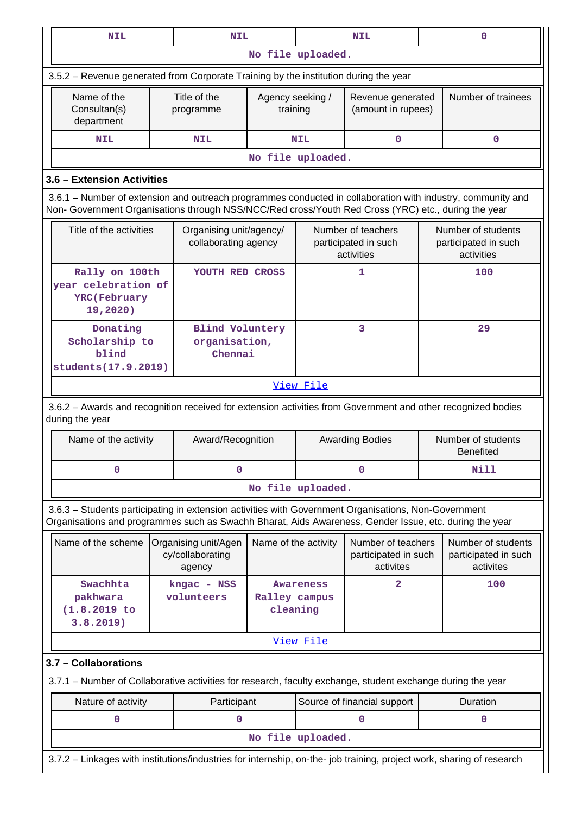| <b>NIL</b>                                                                                                                                                                                                         |                                                                                                                       | <b>NIL</b>                                         |                              |                   | <b>NIL</b>                                               |  | $\mathbf 0$                                              |  |  |  |
|--------------------------------------------------------------------------------------------------------------------------------------------------------------------------------------------------------------------|-----------------------------------------------------------------------------------------------------------------------|----------------------------------------------------|------------------------------|-------------------|----------------------------------------------------------|--|----------------------------------------------------------|--|--|--|
|                                                                                                                                                                                                                    |                                                                                                                       |                                                    | No file uploaded.            |                   |                                                          |  |                                                          |  |  |  |
| 3.5.2 – Revenue generated from Corporate Training by the institution during the year                                                                                                                               |                                                                                                                       |                                                    |                              |                   |                                                          |  |                                                          |  |  |  |
| Name of the<br>Consultan(s)<br>department                                                                                                                                                                          |                                                                                                                       | Title of the<br>programme                          | Agency seeking /<br>training |                   | Revenue generated<br>(amount in rupees)                  |  | Number of trainees                                       |  |  |  |
| <b>NIL</b>                                                                                                                                                                                                         |                                                                                                                       | <b>NIL</b>                                         |                              | <b>NIL</b>        | $\mathbf 0$                                              |  | 0                                                        |  |  |  |
|                                                                                                                                                                                                                    |                                                                                                                       |                                                    |                              | No file uploaded. |                                                          |  |                                                          |  |  |  |
| 3.6 - Extension Activities                                                                                                                                                                                         |                                                                                                                       |                                                    |                              |                   |                                                          |  |                                                          |  |  |  |
| 3.6.1 – Number of extension and outreach programmes conducted in collaboration with industry, community and<br>Non- Government Organisations through NSS/NCC/Red cross/Youth Red Cross (YRC) etc., during the year |                                                                                                                       |                                                    |                              |                   |                                                          |  |                                                          |  |  |  |
| Title of the activities                                                                                                                                                                                            |                                                                                                                       | Organising unit/agency/<br>collaborating agency    |                              |                   | Number of teachers<br>participated in such<br>activities |  | Number of students<br>participated in such<br>activities |  |  |  |
| Rally on 100th<br>vear celebration of<br><b>YRC</b> (February<br>19,2020)                                                                                                                                          |                                                                                                                       | YOUTH RED CROSS                                    |                              |                   | 1                                                        |  | 100                                                      |  |  |  |
| 3<br>29<br>Donating<br><b>Blind Voluntery</b><br>Scholarship to<br>organisation,<br>blind<br>Chennai<br>students(17.9.2019)                                                                                        |                                                                                                                       |                                                    |                              |                   |                                                          |  |                                                          |  |  |  |
|                                                                                                                                                                                                                    | View File                                                                                                             |                                                    |                              |                   |                                                          |  |                                                          |  |  |  |
| 3.6.2 - Awards and recognition received for extension activities from Government and other recognized bodies<br>during the year                                                                                    |                                                                                                                       |                                                    |                              |                   |                                                          |  |                                                          |  |  |  |
| Name of the activity                                                                                                                                                                                               |                                                                                                                       | Award/Recognition                                  |                              |                   | <b>Awarding Bodies</b>                                   |  | Number of students<br><b>Benefited</b>                   |  |  |  |
| 0                                                                                                                                                                                                                  |                                                                                                                       | 0                                                  |                              |                   | 0                                                        |  | <b>Nill</b>                                              |  |  |  |
|                                                                                                                                                                                                                    |                                                                                                                       |                                                    |                              | No file uploaded. |                                                          |  |                                                          |  |  |  |
| 3.6.3 - Students participating in extension activities with Government Organisations, Non-Government<br>Organisations and programmes such as Swachh Bharat, Aids Awareness, Gender Issue, etc. during the year     |                                                                                                                       |                                                    |                              |                   |                                                          |  |                                                          |  |  |  |
| Name of the scheme                                                                                                                                                                                                 |                                                                                                                       | Organising unit/Agen<br>cy/collaborating<br>agency | Name of the activity         |                   | Number of teachers<br>participated in such<br>activites  |  | Number of students<br>participated in such<br>activites  |  |  |  |
| Swachhta<br>pakhwara<br>$(1.8.2019$ to<br>3.8.2019)                                                                                                                                                                |                                                                                                                       | kngac - NSS<br>volunteers                          | Ralley campus<br>cleaning    | Awareness         | $\overline{2}$                                           |  | 100                                                      |  |  |  |
|                                                                                                                                                                                                                    | View File                                                                                                             |                                                    |                              |                   |                                                          |  |                                                          |  |  |  |
| 3.7 - Collaborations                                                                                                                                                                                               |                                                                                                                       |                                                    |                              |                   |                                                          |  |                                                          |  |  |  |
| 3.7.1 – Number of Collaborative activities for research, faculty exchange, student exchange during the year                                                                                                        |                                                                                                                       |                                                    |                              |                   |                                                          |  |                                                          |  |  |  |
| Nature of activity                                                                                                                                                                                                 |                                                                                                                       | Participant                                        |                              |                   | Source of financial support                              |  | Duration                                                 |  |  |  |
| 0                                                                                                                                                                                                                  |                                                                                                                       | 0                                                  |                              |                   | $\Omega$                                                 |  | 0                                                        |  |  |  |
|                                                                                                                                                                                                                    | No file uploaded.                                                                                                     |                                                    |                              |                   |                                                          |  |                                                          |  |  |  |
|                                                                                                                                                                                                                    | 3.7.2 - Linkages with institutions/industries for internship, on-the- job training, project work, sharing of research |                                                    |                              |                   |                                                          |  |                                                          |  |  |  |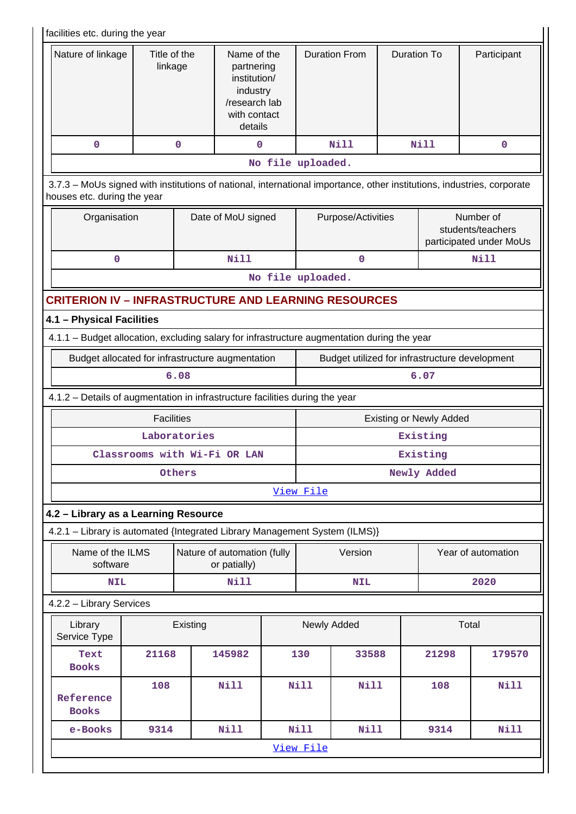| facilities etc. during the year                                                                                                                       |                                                                  |              |                                                                                                   |                   |                                            |             |                                                                    |                                |                    |  |
|-------------------------------------------------------------------------------------------------------------------------------------------------------|------------------------------------------------------------------|--------------|---------------------------------------------------------------------------------------------------|-------------------|--------------------------------------------|-------------|--------------------------------------------------------------------|--------------------------------|--------------------|--|
|                                                                                                                                                       | Nature of linkage<br>Title of the<br>linkage<br>$\mathbf 0$<br>0 |              | Name of the<br>partnering<br>institution/<br>industry<br>/research lab<br>with contact<br>details |                   | <b>Duration From</b>                       |             | Duration To                                                        |                                | Participant        |  |
|                                                                                                                                                       |                                                                  |              | 0                                                                                                 |                   |                                            | <b>Nill</b> |                                                                    | <b>Nill</b>                    | $\mathbf 0$        |  |
|                                                                                                                                                       |                                                                  |              |                                                                                                   | No file uploaded. |                                            |             |                                                                    |                                |                    |  |
| 3.7.3 - MoUs signed with institutions of national, international importance, other institutions, industries, corporate<br>houses etc. during the year |                                                                  |              |                                                                                                   |                   |                                            |             |                                                                    |                                |                    |  |
|                                                                                                                                                       | Organisation<br>Date of MoU signed                               |              |                                                                                                   |                   |                                            |             | Purpose/Activities<br>students/teachers<br>participated under MoUs |                                |                    |  |
| $\mathbf 0$                                                                                                                                           |                                                                  |              | <b>Nill</b>                                                                                       |                   |                                            | 0           |                                                                    |                                | <b>Nill</b>        |  |
|                                                                                                                                                       |                                                                  |              |                                                                                                   | No file uploaded. |                                            |             |                                                                    |                                |                    |  |
| <b>CRITERION IV - INFRASTRUCTURE AND LEARNING RESOURCES</b>                                                                                           |                                                                  |              |                                                                                                   |                   |                                            |             |                                                                    |                                |                    |  |
| 4.1 - Physical Facilities                                                                                                                             |                                                                  |              |                                                                                                   |                   |                                            |             |                                                                    |                                |                    |  |
| 4.1.1 - Budget allocation, excluding salary for infrastructure augmentation during the year                                                           |                                                                  |              |                                                                                                   |                   |                                            |             |                                                                    |                                |                    |  |
| Budget allocated for infrastructure augmentation<br>Budget utilized for infrastructure development                                                    |                                                                  |              |                                                                                                   |                   |                                            |             |                                                                    |                                |                    |  |
|                                                                                                                                                       |                                                                  | 6.08         |                                                                                                   |                   |                                            |             |                                                                    | 6.07                           |                    |  |
| 4.1.2 - Details of augmentation in infrastructure facilities during the year                                                                          |                                                                  |              |                                                                                                   |                   |                                            |             |                                                                    |                                |                    |  |
|                                                                                                                                                       | <b>Facilities</b>                                                |              |                                                                                                   |                   |                                            |             |                                                                    | <b>Existing or Newly Added</b> |                    |  |
|                                                                                                                                                       |                                                                  | Laboratories |                                                                                                   |                   | Existing                                   |             |                                                                    |                                |                    |  |
|                                                                                                                                                       | Classrooms with Wi-Fi OR LAN                                     |              |                                                                                                   |                   | Existing                                   |             |                                                                    |                                |                    |  |
|                                                                                                                                                       |                                                                  | Others       |                                                                                                   |                   |                                            | Newly Added |                                                                    |                                |                    |  |
|                                                                                                                                                       |                                                                  |              |                                                                                                   |                   | View File                                  |             |                                                                    |                                |                    |  |
| 4.2 - Library as a Learning Resource                                                                                                                  |                                                                  |              |                                                                                                   |                   |                                            |             |                                                                    |                                |                    |  |
| 4.2.1 - Library is automated {Integrated Library Management System (ILMS)}                                                                            |                                                                  |              |                                                                                                   |                   |                                            |             |                                                                    |                                |                    |  |
| Name of the ILMS<br>software                                                                                                                          |                                                                  |              | Nature of automation (fully<br>or patially)                                                       |                   |                                            | Version     |                                                                    |                                | Year of automation |  |
| <b>NIL</b>                                                                                                                                            |                                                                  |              | <b>Nill</b>                                                                                       |                   |                                            | <b>NIL</b>  |                                                                    |                                | 2020               |  |
| 4.2.2 - Library Services                                                                                                                              |                                                                  |              |                                                                                                   |                   |                                            |             |                                                                    |                                |                    |  |
| Library<br>Service Type                                                                                                                               |                                                                  | Existing     |                                                                                                   |                   |                                            | Newly Added |                                                                    | Total                          |                    |  |
| Text<br><b>Books</b>                                                                                                                                  |                                                                  | 130          | 33588                                                                                             |                   | 21298                                      | 179570      |                                                                    |                                |                    |  |
| Reference<br><b>Books</b>                                                                                                                             | <b>Nill</b>                                                      |              | <b>Nill</b>                                                                                       | <b>Nill</b>       |                                            | 108         | <b>Nill</b>                                                        |                                |                    |  |
| e-Books                                                                                                                                               | 9314                                                             |              | <b>Nill</b>                                                                                       |                   | <b>Nill</b><br><b>Nill</b><br>Nill<br>9314 |             |                                                                    |                                |                    |  |
|                                                                                                                                                       |                                                                  |              |                                                                                                   |                   | View File                                  |             |                                                                    |                                |                    |  |
|                                                                                                                                                       |                                                                  |              |                                                                                                   |                   |                                            |             |                                                                    |                                |                    |  |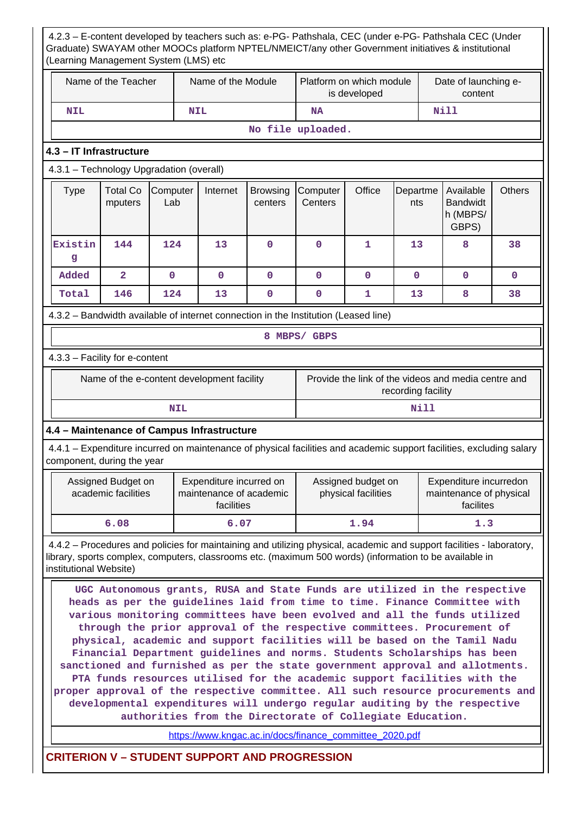4.2.3 – E-content developed by teachers such as: e-PG- Pathshala, CEC (under e-PG- Pathshala CEC (Under Graduate) SWAYAM other MOOCs platform NPTEL/NMEICT/any other Government initiatives & institutional (Learning Management System (LMS) etc Name of the Teacher  $\parallel$  Name of the Module Platform on which module is developed Date of launching econtent  **NIL NIL NA Nill No file uploaded. 4.3 – IT Infrastructure** 4.3.1 – Technology Upgradation (overall)  $Type \mid Total Co$ mputers **Computer** Lab Internet Browsing centers **Computer Centers** Office Departme nts Available Bandwidt h (MBPS/ GBPS) **Others Existin g 144 124 13 0 0 1 13 8 38 Added 2 0 0 0 0 0 0 0 0 Total 146 124 13 0 0 1 13 8 38** 4.3.2 – Bandwidth available of internet connection in the Institution (Leased line) **8 MBPS/ GBPS** 4.3.3 – Facility for e-content Name of the e-content development facility Frovide the link of the videos and media centre and recording facility **NIL** Nill **4.4 – Maintenance of Campus Infrastructure** 4.4.1 – Expenditure incurred on maintenance of physical facilities and academic support facilities, excluding salary component, during the year Assigned Budget on academic facilities Expenditure incurred on maintenance of academic facilities Assigned budget on physical facilities Expenditure incurredon maintenance of physical facilites  **6.08 6.07 1.94 1.3** 4.4.2 – Procedures and policies for maintaining and utilizing physical, academic and support facilities - laboratory, library, sports complex, computers, classrooms etc. (maximum 500 words) (information to be available in institutional Website) **UGC Autonomous grants, RUSA and State Funds are utilized in the respective heads as per the guidelines laid from time to time. Finance Committee with various monitoring committees have been evolved and all the funds utilized through the prior approval of the respective committees. Procurement of physical, academic and support facilities will be based on the Tamil Nadu Financial Department guidelines and norms. Students Scholarships has been sanctioned and furnished as per the state government approval and allotments. PTA funds resources utilised for the academic support facilities with the proper approval of the respective committee. All such resource procurements and developmental expenditures will undergo regular auditing by the respective authorities from the Directorate of Collegiate Education.** [https://www.kngac.ac.in/docs/finance\\_committee\\_2020.pdf](https://www.kngac.ac.in/docs/finance_committee_2020.pdf)

**CRITERION V – STUDENT SUPPORT AND PROGRESSION**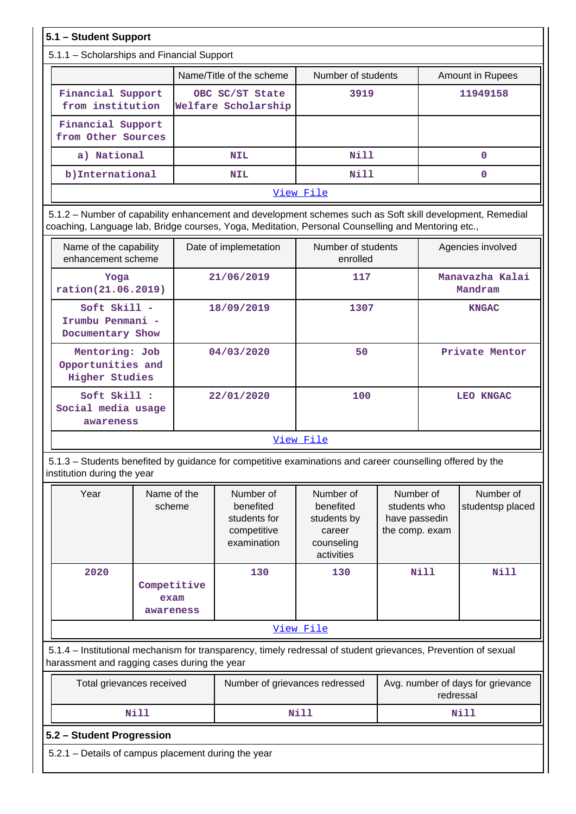# **5.1 – Student Support**

## 5.1.1 – Scholarships and Financial Support

|                                         | Name/Title of the scheme               | Number of students | <b>Amount in Rupees</b> |  |  |  |  |  |  |  |  |
|-----------------------------------------|----------------------------------------|--------------------|-------------------------|--|--|--|--|--|--|--|--|
| Financial Support<br>from institution   | OBC SC/ST State<br>Welfare Scholarship | 3919               | 11949158                |  |  |  |  |  |  |  |  |
| Financial Support<br>from Other Sources |                                        |                    |                         |  |  |  |  |  |  |  |  |
| a) National                             | <b>NIL</b>                             | Nill               |                         |  |  |  |  |  |  |  |  |
| b) International                        | <b>NIL</b>                             | Nill               | 0                       |  |  |  |  |  |  |  |  |
|                                         |                                        | View File          |                         |  |  |  |  |  |  |  |  |

 5.1.2 – Number of capability enhancement and development schemes such as Soft skill development, Remedial coaching, Language lab, Bridge courses, Yoga, Meditation, Personal Counselling and Mentoring etc.,

| Name of the capability<br>enhancement scheme                 | Date of implemetation | Number of students<br>enrolled | Agencies involved          |  |
|--------------------------------------------------------------|-----------------------|--------------------------------|----------------------------|--|
| Yoga<br>ration(21.06.2019)                                   | 21/06/2019            | 117                            | Manavazha Kalai<br>Mandram |  |
| $Soft$ Skill $-$<br>Irumbu Penmani -<br>Documentary Show     | 18/09/2019            | 1307                           | <b>KNGAC</b>               |  |
| Mentoring: Job<br>Opportunities and<br><b>Higher Studies</b> | 04/03/2020            | 50                             | Private Mentor             |  |
| Soft Skill :<br>Social media usage<br>awareness              | 22/01/2020            | 100                            | LEO KNGAC                  |  |
|                                                              |                       | View File                      |                            |  |

 5.1.3 – Students benefited by guidance for competitive examinations and career counselling offered by the institution during the year

| Year | Name of the<br>scheme            | Number of<br>benefited<br>students for<br>competitive<br>examination | Number of<br>benefited<br>students by<br>career<br>counseling<br>activities | Number of<br>students who<br>have passedin<br>the comp. exam | Number of<br>studentsp placed |  |  |  |  |  |  |  |
|------|----------------------------------|----------------------------------------------------------------------|-----------------------------------------------------------------------------|--------------------------------------------------------------|-------------------------------|--|--|--|--|--|--|--|
| 2020 | Competitive<br>exam<br>awareness | 130                                                                  | 130                                                                         | Nill                                                         | Nill                          |  |  |  |  |  |  |  |
|      | <u>View File</u>                 |                                                                      |                                                                             |                                                              |                               |  |  |  |  |  |  |  |

 5.1.4 – Institutional mechanism for transparency, timely redressal of student grievances, Prevention of sexual harassment and ragging cases during the year

| Total grievances received | Number of grievances redressed | Avg. number of days for grievance<br>redressal |
|---------------------------|--------------------------------|------------------------------------------------|
| Nill                      | Nill                           | Nill                                           |

### **5.2 – Student Progression**

5.2.1 – Details of campus placement during the year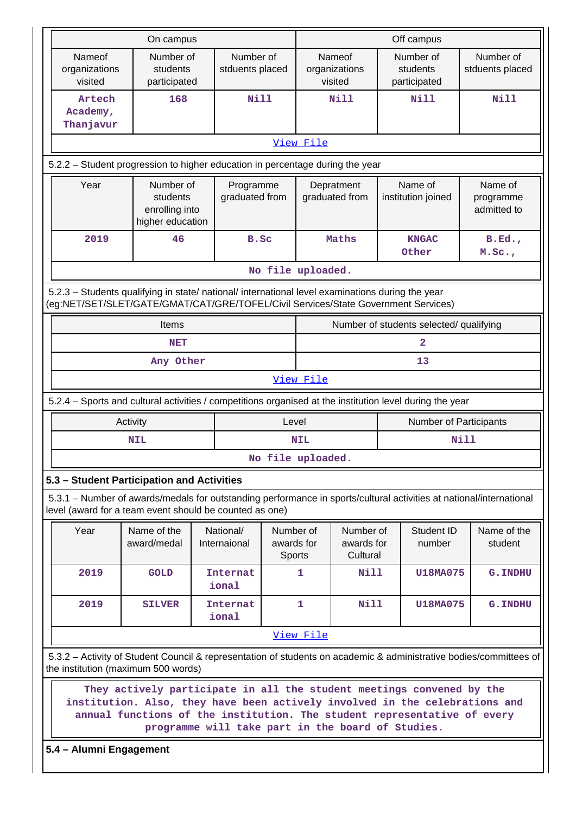|                                                                                                                                                                   | On campus                                                                                                                                                                                                                                                                                                                    |                              |                         | Off campus        |                                     |                                         |                      |                                     |  |  |  |  |  |  |
|-------------------------------------------------------------------------------------------------------------------------------------------------------------------|------------------------------------------------------------------------------------------------------------------------------------------------------------------------------------------------------------------------------------------------------------------------------------------------------------------------------|------------------------------|-------------------------|-------------------|-------------------------------------|-----------------------------------------|----------------------|-------------------------------------|--|--|--|--|--|--|
| Nameof<br>organizations<br>visited                                                                                                                                | Number of<br>students<br>participated                                                                                                                                                                                                                                                                                        | Number of<br>stduents placed |                         |                   | Nameof<br>organizations<br>visited  | Number of<br>students<br>participated   |                      | Number of<br>stduents placed        |  |  |  |  |  |  |
| Artech<br>Academy,<br>Thanjavur                                                                                                                                   | 168                                                                                                                                                                                                                                                                                                                          | <b>Nill</b>                  |                         |                   | <b>Nill</b>                         | <b>Nill</b>                             |                      | <b>Nill</b>                         |  |  |  |  |  |  |
|                                                                                                                                                                   |                                                                                                                                                                                                                                                                                                                              |                              |                         | View File         |                                     |                                         |                      |                                     |  |  |  |  |  |  |
| 5.2.2 - Student progression to higher education in percentage during the year                                                                                     |                                                                                                                                                                                                                                                                                                                              |                              |                         |                   |                                     |                                         |                      |                                     |  |  |  |  |  |  |
| Year                                                                                                                                                              | Number of<br>students<br>enrolling into<br>higher education                                                                                                                                                                                                                                                                  | Programme<br>graduated from  |                         |                   | Depratment<br>graduated from        | Name of<br>institution joined           |                      | Name of<br>programme<br>admitted to |  |  |  |  |  |  |
| 2019                                                                                                                                                              | 46                                                                                                                                                                                                                                                                                                                           | B.Sc                         |                         |                   | Maths                               | <b>KNGAC</b><br>Other                   |                      | B.Ed.<br>M.SC.                      |  |  |  |  |  |  |
|                                                                                                                                                                   |                                                                                                                                                                                                                                                                                                                              |                              |                         | No file uploaded. |                                     |                                         |                      |                                     |  |  |  |  |  |  |
|                                                                                                                                                                   | 5.2.3 - Students qualifying in state/ national/ international level examinations during the year<br>(eg:NET/SET/SLET/GATE/GMAT/CAT/GRE/TOFEL/Civil Services/State Government Services)                                                                                                                                       |                              |                         |                   |                                     |                                         |                      |                                     |  |  |  |  |  |  |
| Items                                                                                                                                                             |                                                                                                                                                                                                                                                                                                                              |                              |                         |                   |                                     | Number of students selected/ qualifying |                      |                                     |  |  |  |  |  |  |
| <b>NET</b>                                                                                                                                                        |                                                                                                                                                                                                                                                                                                                              |                              |                         | 2                 |                                     |                                         |                      |                                     |  |  |  |  |  |  |
| Any Other                                                                                                                                                         |                                                                                                                                                                                                                                                                                                                              |                              |                         |                   | 13                                  |                                         |                      |                                     |  |  |  |  |  |  |
|                                                                                                                                                                   |                                                                                                                                                                                                                                                                                                                              |                              |                         | View File         |                                     |                                         |                      |                                     |  |  |  |  |  |  |
| 5.2.4 – Sports and cultural activities / competitions organised at the institution level during the year                                                          |                                                                                                                                                                                                                                                                                                                              |                              |                         |                   |                                     |                                         |                      |                                     |  |  |  |  |  |  |
|                                                                                                                                                                   | Activity                                                                                                                                                                                                                                                                                                                     |                              | Level                   |                   |                                     |                                         |                      | Number of Participants              |  |  |  |  |  |  |
|                                                                                                                                                                   | <b>NIL</b>                                                                                                                                                                                                                                                                                                                   |                              |                         | <b>NIL</b>        |                                     |                                         | <b>Nill</b>          |                                     |  |  |  |  |  |  |
|                                                                                                                                                                   |                                                                                                                                                                                                                                                                                                                              |                              |                         | No file uploaded. |                                     |                                         |                      |                                     |  |  |  |  |  |  |
| 5.3 - Student Participation and Activities<br>5.3.1 – Number of awards/medals for outstanding performance in sports/cultural activities at national/international |                                                                                                                                                                                                                                                                                                                              |                              |                         |                   |                                     |                                         |                      |                                     |  |  |  |  |  |  |
| level (award for a team event should be counted as one)                                                                                                           |                                                                                                                                                                                                                                                                                                                              |                              |                         |                   |                                     |                                         |                      |                                     |  |  |  |  |  |  |
| Year                                                                                                                                                              | Name of the<br>award/medal                                                                                                                                                                                                                                                                                                   | National/<br>Internaional    | Number of<br>awards for | Sports            | Number of<br>awards for<br>Cultural |                                         | Student ID<br>number | Name of the<br>student              |  |  |  |  |  |  |
| 2019                                                                                                                                                              | <b>GOLD</b>                                                                                                                                                                                                                                                                                                                  | <b>Internat</b><br>ional     |                         | 1                 | Nill                                |                                         | <b>U18MA075</b>      | <b>G. INDHU</b>                     |  |  |  |  |  |  |
| 2019                                                                                                                                                              | <b>SILVER</b>                                                                                                                                                                                                                                                                                                                | <b>Internat</b><br>ional     |                         | $\mathbf{1}$      | <b>Nill</b>                         |                                         | <b>U18MA075</b>      | <b>G. INDHU</b>                     |  |  |  |  |  |  |
|                                                                                                                                                                   |                                                                                                                                                                                                                                                                                                                              |                              |                         | View File         |                                     |                                         |                      |                                     |  |  |  |  |  |  |
| 5.3.2 - Activity of Student Council & representation of students on academic & administrative bodies/committees of                                                |                                                                                                                                                                                                                                                                                                                              |                              |                         |                   |                                     |                                         |                      |                                     |  |  |  |  |  |  |
|                                                                                                                                                                   | the institution (maximum 500 words)<br>They actively participate in all the student meetings convened by the<br>institution. Also, they have been actively involved in the celebrations and<br>annual functions of the institution. The student representative of every<br>programme will take part in the board of Studies. |                              |                         |                   |                                     |                                         |                      |                                     |  |  |  |  |  |  |
|                                                                                                                                                                   |                                                                                                                                                                                                                                                                                                                              |                              |                         |                   |                                     | 5.4 - Alumni Engagement                 |                      |                                     |  |  |  |  |  |  |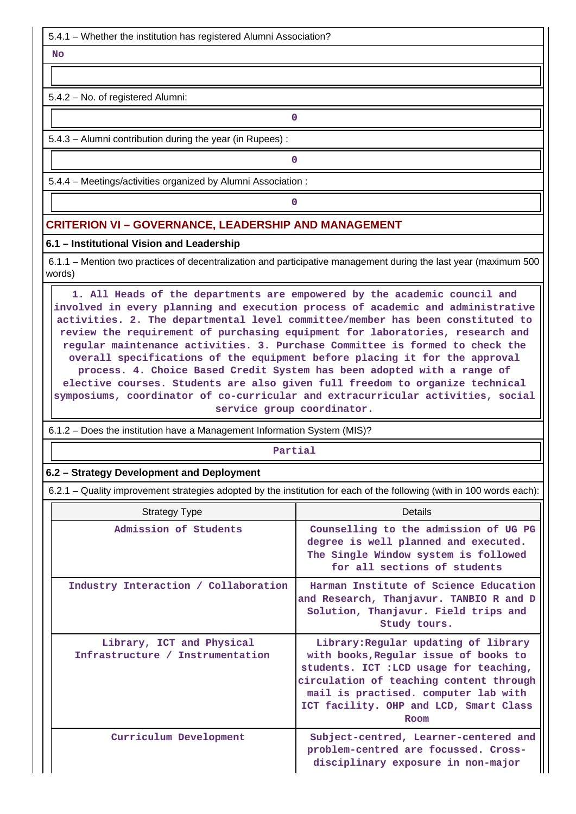5.4.1 – Whether the institution has registered Alumni Association?

 **No**

5.4.2 – No. of registered Alumni:

5.4.3 – Alumni contribution during the year (in Rupees) :

**0**

**0**

**0**

5.4.4 – Meetings/activities organized by Alumni Association :

### **CRITERION VI – GOVERNANCE, LEADERSHIP AND MANAGEMENT**

### **6.1 – Institutional Vision and Leadership**

 6.1.1 – Mention two practices of decentralization and participative management during the last year (maximum 500 words)

 **1. All Heads of the departments are empowered by the academic council and involved in every planning and execution process of academic and administrative activities. 2. The departmental level committee/member has been constituted to review the requirement of purchasing equipment for laboratories, research and regular maintenance activities. 3. Purchase Committee is formed to check the overall specifications of the equipment before placing it for the approval process. 4. Choice Based Credit System has been adopted with a range of elective courses. Students are also given full freedom to organize technical symposiums, coordinator of co-curricular and extracurricular activities, social service group coordinator.**

6.1.2 – Does the institution have a Management Information System (MIS)?

#### **Partial**

### **6.2 – Strategy Development and Deployment**

6.2.1 – Quality improvement strategies adopted by the institution for each of the following (with in 100 words each):

| <b>Strategy Type</b>                                          | Details                                                                                                                                                                                                                                                       |
|---------------------------------------------------------------|---------------------------------------------------------------------------------------------------------------------------------------------------------------------------------------------------------------------------------------------------------------|
| Admission of Students                                         | Counselling to the admission of UG PG<br>degree is well planned and executed.<br>The Single Window system is followed<br>for all sections of students                                                                                                         |
| Industry Interaction / Collaboration                          | Harman Institute of Science Education<br>and Research, Thanjavur. TANBIO R and D<br>Solution, Thanjavur. Field trips and<br>Study tours.                                                                                                                      |
| Library, ICT and Physical<br>Infrastructure / Instrumentation | Library: Regular updating of library<br>with books, Regular issue of books to<br>students. ICT : LCD usage for teaching,<br>circulation of teaching content through<br>mail is practised. computer lab with<br>ICT facility. OHP and LCD, Smart Class<br>Room |
| Curriculum Development                                        | Subject-centred, Learner-centered and<br>problem-centred are focussed. Cross-<br>disciplinary exposure in non-major                                                                                                                                           |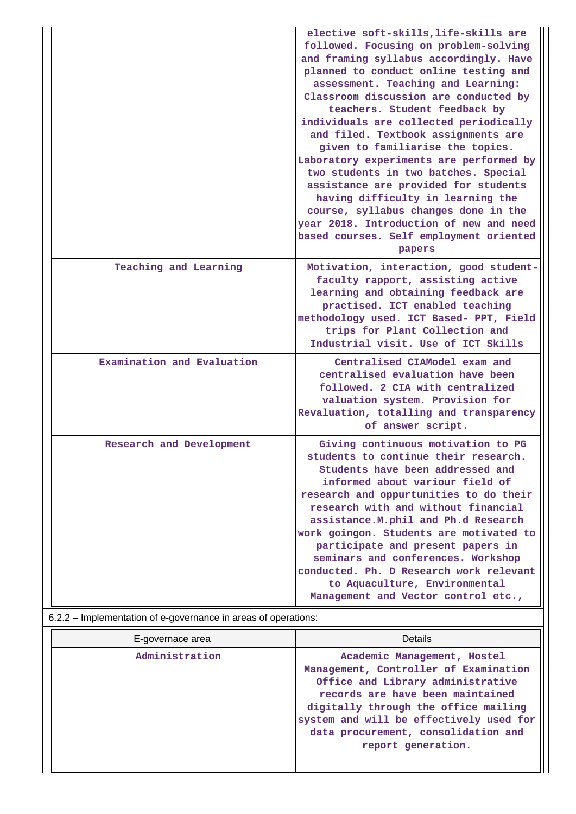|                            | elective soft-skills, life-skills are<br>followed. Focusing on problem-solving<br>and framing syllabus accordingly. Have<br>planned to conduct online testing and<br>assessment. Teaching and Learning:<br>Classroom discussion are conducted by<br>teachers. Student feedback by<br>individuals are collected periodically<br>and filed. Textbook assignments are<br>given to familiarise the topics.<br>Laboratory experiments are performed by<br>two students in two batches. Special<br>assistance are provided for students<br>having difficulty in learning the<br>course, syllabus changes done in the<br>year 2018. Introduction of new and need<br>based courses. Self employment oriented<br>papers |
|----------------------------|----------------------------------------------------------------------------------------------------------------------------------------------------------------------------------------------------------------------------------------------------------------------------------------------------------------------------------------------------------------------------------------------------------------------------------------------------------------------------------------------------------------------------------------------------------------------------------------------------------------------------------------------------------------------------------------------------------------|
| Teaching and Learning      | Motivation, interaction, good student-<br>faculty rapport, assisting active<br>learning and obtaining feedback are<br>practised. ICT enabled teaching<br>methodology used. ICT Based- PPT, Field<br>trips for Plant Collection and<br>Industrial visit. Use of ICT Skills                                                                                                                                                                                                                                                                                                                                                                                                                                      |
| Examination and Evaluation | Centralised CIAModel exam and<br>centralised evaluation have been<br>followed. 2 CIA with centralized<br>valuation system. Provision for<br>Revaluation, totalling and transparency<br>of answer script.                                                                                                                                                                                                                                                                                                                                                                                                                                                                                                       |
| Research and Development   | Giving continuous motivation to PG<br>students to continue their research<br>Students have been addressed and<br>informed about variour field of<br>research and oppurtunities to do their<br>research with and without financial<br>assistance. M. phil and Ph.d Research<br>work goingon. Students are motivated to<br>participate and present papers in<br>seminars and conferences. Workshop<br>conducted. Ph. D Research work relevant<br>to Aquaculture, Environmental<br>Management and Vector control etc.,                                                                                                                                                                                            |

| 6.2.2 – Implementation of e-governance in areas of operations: |  |
|----------------------------------------------------------------|--|
|                                                                |  |

| E-governace area | <b>Details</b>                                                                                                                                                                                                                                                                                |
|------------------|-----------------------------------------------------------------------------------------------------------------------------------------------------------------------------------------------------------------------------------------------------------------------------------------------|
| Administration   | Academic Management, Hostel<br>Management, Controller of Examination<br>Office and Library administrative<br>records are have been maintained<br>digitally through the office mailing<br>system and will be effectively used for<br>data procurement, consolidation and<br>report generation. |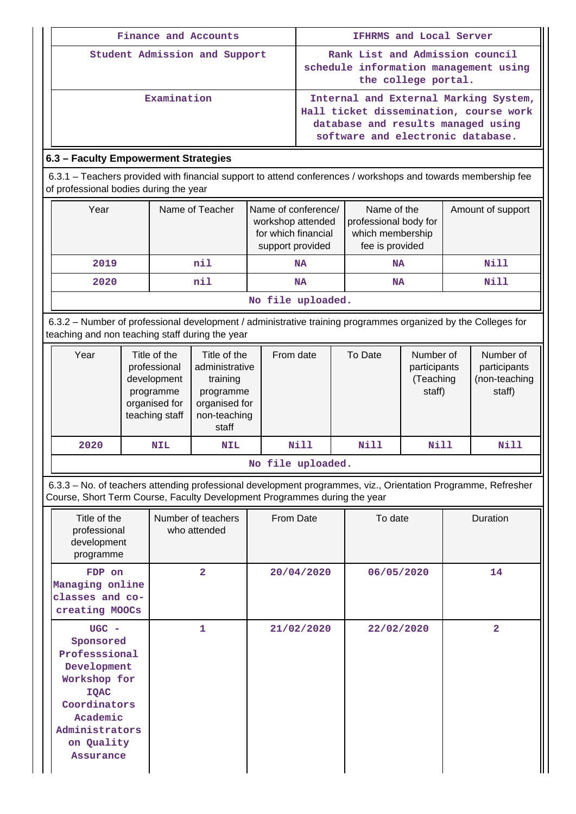| Finance and Accounts                                                                                                                                    |                 |                                                                                     | IFHRMS and Local Server                                                                                                                                    |                                                                             |                   |
|---------------------------------------------------------------------------------------------------------------------------------------------------------|-----------------|-------------------------------------------------------------------------------------|------------------------------------------------------------------------------------------------------------------------------------------------------------|-----------------------------------------------------------------------------|-------------------|
| Student Admission and Support                                                                                                                           |                 |                                                                                     | Rank List and Admission council<br>schedule information management using<br>the college portal.                                                            |                                                                             |                   |
| Examination                                                                                                                                             |                 |                                                                                     | Internal and External Marking System,<br>Hall ticket dissemination, course work<br>database and results managed using<br>software and electronic database. |                                                                             |                   |
| 6.3 - Faculty Empowerment Strategies                                                                                                                    |                 |                                                                                     |                                                                                                                                                            |                                                                             |                   |
| 6.3.1 – Teachers provided with financial support to attend conferences / workshops and towards membership fee<br>of professional bodies during the year |                 |                                                                                     |                                                                                                                                                            |                                                                             |                   |
| Year                                                                                                                                                    | Name of Teacher | Name of conference/<br>workshop attended<br>for which financial<br>support provided |                                                                                                                                                            | Name of the<br>professional body for<br>which membership<br>fee is provided | Amount of support |

 **2019 nil NA NA Nill 2020 nil NA NA Nill No file uploaded.**

 6.3.2 – Number of professional development / administrative training programmes organized by the Colleges for teaching and non teaching staff during the year

| Year                             | Title of the<br>professional<br>development<br>programme<br>organised for<br>teaching staff | Title of the<br>administrative<br>training<br>programme<br>organised for<br>non-teaching<br>staff | From date | To Date | Number of<br>participants<br>(Teaching<br>staff) | Number of<br>participants<br>(non-teaching<br>staff) |
|----------------------------------|---------------------------------------------------------------------------------------------|---------------------------------------------------------------------------------------------------|-----------|---------|--------------------------------------------------|------------------------------------------------------|
| 2020<br><b>NIL</b><br><b>NIL</b> |                                                                                             |                                                                                                   | Nill      | Nill    | Nill                                             | Nill                                                 |

**No file uploaded.**

 6.3.3 – No. of teachers attending professional development programmes, viz., Orientation Programme, Refresher Course, Short Term Course, Faculty Development Programmes during the year

| Title of the<br>professional<br>development<br>programme                                                                                                     | Number of teachers<br>who attended | From Date  | To date    | Duration       |
|--------------------------------------------------------------------------------------------------------------------------------------------------------------|------------------------------------|------------|------------|----------------|
| FDP on<br>Managing online<br>classes and co-<br>creating MOOCs                                                                                               | $\overline{2}$                     | 20/04/2020 | 06/05/2020 | 14             |
| $UGC -$<br>Sponsored<br>Professsional<br>Development<br>Workshop for<br><b>IQAC</b><br>Coordinators<br>Academic<br>Administrators<br>on Quality<br>Assurance | 1                                  | 21/02/2020 | 22/02/2020 | $\overline{2}$ |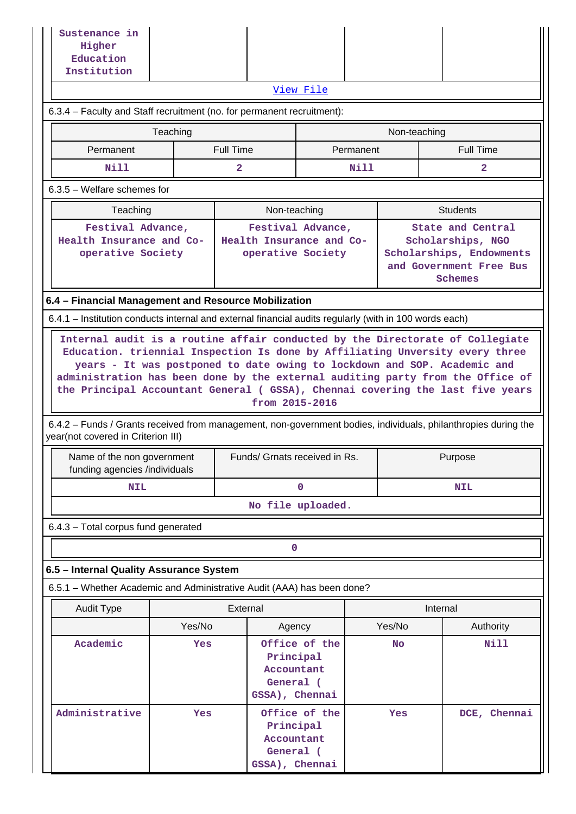| Sustenance in<br>Higher<br>Education<br>Institution                                                                                                                                                                                                                                                                                                                                                  |                                                      |                                                                                                                                                                                       |                                                                         |           |              |                 |                  |  |
|------------------------------------------------------------------------------------------------------------------------------------------------------------------------------------------------------------------------------------------------------------------------------------------------------------------------------------------------------------------------------------------------------|------------------------------------------------------|---------------------------------------------------------------------------------------------------------------------------------------------------------------------------------------|-------------------------------------------------------------------------|-----------|--------------|-----------------|------------------|--|
|                                                                                                                                                                                                                                                                                                                                                                                                      |                                                      |                                                                                                                                                                                       | View File                                                               |           |              |                 |                  |  |
| 6.3.4 - Faculty and Staff recruitment (no. for permanent recruitment):                                                                                                                                                                                                                                                                                                                               |                                                      |                                                                                                                                                                                       |                                                                         |           |              |                 |                  |  |
|                                                                                                                                                                                                                                                                                                                                                                                                      | Teaching                                             |                                                                                                                                                                                       |                                                                         | Permanent | Non-teaching |                 | <b>Full Time</b> |  |
| Nill                                                                                                                                                                                                                                                                                                                                                                                                 | <b>Full Time</b><br>Permanent<br>$\mathbf{2}$        |                                                                                                                                                                                       |                                                                         | Nill      |              |                 | $\overline{2}$   |  |
| 6.3.5 - Welfare schemes for                                                                                                                                                                                                                                                                                                                                                                          |                                                      |                                                                                                                                                                                       |                                                                         |           |              |                 |                  |  |
| Teaching                                                                                                                                                                                                                                                                                                                                                                                             |                                                      |                                                                                                                                                                                       | Non-teaching                                                            |           |              | <b>Students</b> |                  |  |
| Festival Advance,<br>Health Insurance and Co-<br>operative Society                                                                                                                                                                                                                                                                                                                                   |                                                      | Festival Advance,<br>State and Central<br>Health Insurance and Co-<br>Scholarships, NGO<br>operative Society<br>Scholarships, Endowments<br>and Government Free Bus<br><b>Schemes</b> |                                                                         |           |              |                 |                  |  |
|                                                                                                                                                                                                                                                                                                                                                                                                      | 6.4 - Financial Management and Resource Mobilization |                                                                                                                                                                                       |                                                                         |           |              |                 |                  |  |
| 6.4.1 – Institution conducts internal and external financial audits regularly (with in 100 words each)                                                                                                                                                                                                                                                                                               |                                                      |                                                                                                                                                                                       |                                                                         |           |              |                 |                  |  |
| years - It was postponed to date owing to lockdown and SOP. Academic and<br>administration has been done by the external auditing party from the Office of<br>the Principal Accountant General ( GSSA), Chennai covering the last five years<br>6.4.2 – Funds / Grants received from management, non-government bodies, individuals, philanthropies during the<br>year(not covered in Criterion III) |                                                      |                                                                                                                                                                                       | from 2015-2016                                                          |           |              |                 |                  |  |
| Name of the non government<br>funding agencies /individuals                                                                                                                                                                                                                                                                                                                                          |                                                      | Funds/ Grnats received in Rs.                                                                                                                                                         |                                                                         |           |              | Purpose         |                  |  |
| <b>NIL</b>                                                                                                                                                                                                                                                                                                                                                                                           |                                                      |                                                                                                                                                                                       | 0                                                                       |           |              |                 | <b>NIL</b>       |  |
|                                                                                                                                                                                                                                                                                                                                                                                                      |                                                      |                                                                                                                                                                                       | No file uploaded.                                                       |           |              |                 |                  |  |
| 6.4.3 - Total corpus fund generated                                                                                                                                                                                                                                                                                                                                                                  |                                                      |                                                                                                                                                                                       |                                                                         |           |              |                 |                  |  |
|                                                                                                                                                                                                                                                                                                                                                                                                      |                                                      |                                                                                                                                                                                       | 0                                                                       |           |              |                 |                  |  |
| 6.5 - Internal Quality Assurance System                                                                                                                                                                                                                                                                                                                                                              |                                                      |                                                                                                                                                                                       |                                                                         |           |              |                 |                  |  |
| 6.5.1 - Whether Academic and Administrative Audit (AAA) has been done?                                                                                                                                                                                                                                                                                                                               |                                                      |                                                                                                                                                                                       |                                                                         |           |              |                 |                  |  |
| <b>Audit Type</b>                                                                                                                                                                                                                                                                                                                                                                                    |                                                      | External                                                                                                                                                                              |                                                                         |           |              | Internal        |                  |  |
| Academic                                                                                                                                                                                                                                                                                                                                                                                             | Yes/No                                               |                                                                                                                                                                                       | Agency                                                                  |           | Yes/No       |                 | Authority        |  |
|                                                                                                                                                                                                                                                                                                                                                                                                      | Yes                                                  | General (                                                                                                                                                                             | Office of the<br>Principal<br>Accountant<br>GSSA), Chennai              |           | <b>No</b>    |                 | Nill             |  |
| Administrative                                                                                                                                                                                                                                                                                                                                                                                       | Yes                                                  |                                                                                                                                                                                       | Office of the<br>Principal<br>Accountant<br>General (<br>GSSA), Chennai |           | Yes          |                 | DCE, Chennai     |  |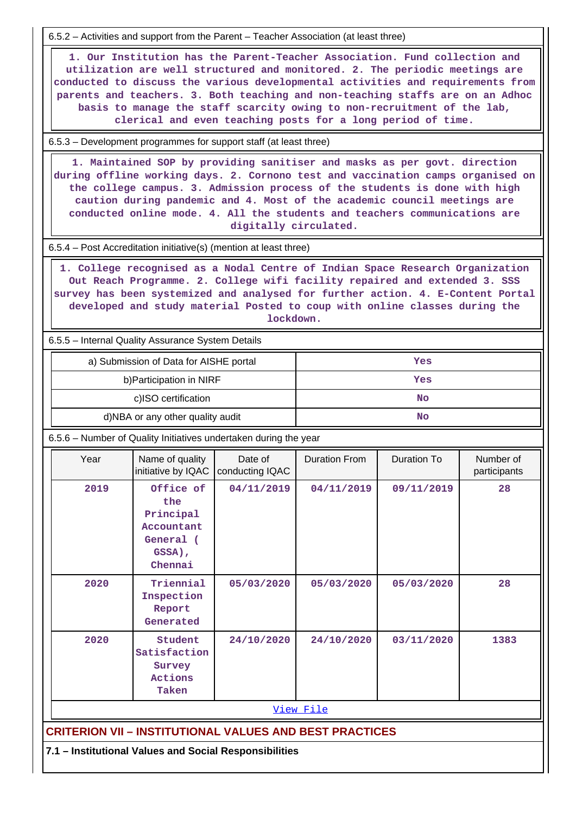6.5.2 – Activities and support from the Parent – Teacher Association (at least three)

 **1. Our Institution has the Parent-Teacher Association. Fund collection and utilization are well structured and monitored. 2. The periodic meetings are conducted to discuss the various developmental activities and requirements from parents and teachers. 3. Both teaching and non-teaching staffs are on an Adhoc basis to manage the staff scarcity owing to non-recruitment of the lab, clerical and even teaching posts for a long period of time.**

6.5.3 – Development programmes for support staff (at least three)

 **1. Maintained SOP by providing sanitiser and masks as per govt. direction during offline working days. 2. Cornono test and vaccination camps organised on the college campus. 3. Admission process of the students is done with high caution during pandemic and 4. Most of the academic council meetings are conducted online mode. 4. All the students and teachers communications are digitally circulated.**

6.5.4 – Post Accreditation initiative(s) (mention at least three)

 **1. College recognised as a Nodal Centre of Indian Space Research Organization Out Reach Programme. 2. College wifi facility repaired and extended 3. SSS survey has been systemized and analysed for further action. 4. E-Content Portal developed and study material Posted to coup with online classes during the lockdown.**

6.5.5 – Internal Quality Assurance System Details

| a) Submission of Data for AISHE portal | Yes |
|----------------------------------------|-----|
| b) Participation in NIRF               | Yes |
| c)ISO certification                    | No  |
| d)NBA or any other quality audit       | No  |

6.5.6 – Number of Quality Initiatives undertaken during the year

|           | Year | Name of quality<br>initiative by IQAC                                         | Date of<br>conducting IQAC                                     | <b>Duration From</b> | <b>Duration To</b> | Number of<br>participants |  |  |
|-----------|------|-------------------------------------------------------------------------------|----------------------------------------------------------------|----------------------|--------------------|---------------------------|--|--|
|           | 2019 | Office of<br>the<br>Principal<br>Accountant<br>General (<br>GSSA),<br>Chennai | 04/11/2019                                                     | 04/11/2019           | 09/11/2019         | 28                        |  |  |
|           | 2020 | Triennial<br>Inspection<br>Report<br>Generated                                | 05/03/2020                                                     | 05/03/2020           | 05/03/2020         | 28                        |  |  |
|           | 2020 | Student<br>Satisfaction<br>Survey<br>Actions<br>Taken                         | 24/10/2020                                                     | 24/10/2020           | 03/11/2020         | 1383                      |  |  |
| View File |      |                                                                               |                                                                |                      |                    |                           |  |  |
|           |      |                                                                               | <b>CRITERION VII - INSTITUTIONAL VALUES AND BEST PRACTICES</b> |                      |                    |                           |  |  |
|           |      |                                                                               | 7.1 - Institutional Values and Social Responsibilities         |                      |                    |                           |  |  |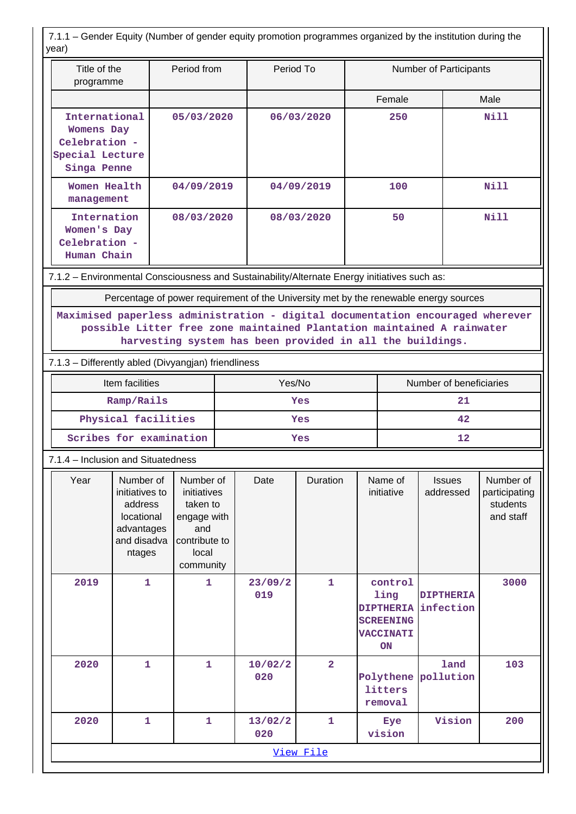7.1.1 – Gender Equity (Number of gender equity promotion programmes organized by the institution during the year)

| yuar,<br>Period from<br>Title of the<br>programme                                                                                                                                                                     |                                                                                             | Period To                                                                                         |        |                | Number of Participants |     |                                                                                   |                               |                                                     |  |
|-----------------------------------------------------------------------------------------------------------------------------------------------------------------------------------------------------------------------|---------------------------------------------------------------------------------------------|---------------------------------------------------------------------------------------------------|--------|----------------|------------------------|-----|-----------------------------------------------------------------------------------|-------------------------------|-----------------------------------------------------|--|
|                                                                                                                                                                                                                       |                                                                                             |                                                                                                   |        |                |                        |     | Female                                                                            |                               | Male                                                |  |
| International<br><b>Womens Day</b><br>Celebration -<br>Special Lecture<br>Singa Penne                                                                                                                                 |                                                                                             | 05/03/2020                                                                                        |        | 06/03/2020     |                        | 250 |                                                                                   |                               | <b>Nill</b>                                         |  |
| Women Health<br>management                                                                                                                                                                                            |                                                                                             | 04/09/2019                                                                                        |        | 04/09/2019     |                        |     | 100                                                                               |                               | <b>Nill</b>                                         |  |
| Internation<br>Women's Day<br>Celebration -<br>Human Chain                                                                                                                                                            |                                                                                             | 08/03/2020                                                                                        |        | 08/03/2020     |                        |     | 50                                                                                |                               | <b>Nill</b>                                         |  |
| 7.1.2 - Environmental Consciousness and Sustainability/Alternate Energy initiatives such as:                                                                                                                          |                                                                                             |                                                                                                   |        |                |                        |     |                                                                                   |                               |                                                     |  |
| Percentage of power requirement of the University met by the renewable energy sources                                                                                                                                 |                                                                                             |                                                                                                   |        |                |                        |     |                                                                                   |                               |                                                     |  |
| Maximised paperless administration - digital documentation encouraged wherever<br>possible Litter free zone maintained Plantation maintained A rainwater<br>harvesting system has been provided in all the buildings. |                                                                                             |                                                                                                   |        |                |                        |     |                                                                                   |                               |                                                     |  |
| 7.1.3 - Differently abled (Divyangjan) friendliness                                                                                                                                                                   |                                                                                             |                                                                                                   |        |                |                        |     |                                                                                   |                               |                                                     |  |
| Item facilities                                                                                                                                                                                                       |                                                                                             |                                                                                                   | Yes/No |                |                        |     | Number of beneficiaries                                                           |                               |                                                     |  |
|                                                                                                                                                                                                                       | Ramp/Rails                                                                                  |                                                                                                   | Yes    |                |                        |     | 21                                                                                |                               |                                                     |  |
| Physical facilities                                                                                                                                                                                                   |                                                                                             |                                                                                                   | Yes    |                |                        |     | 42                                                                                |                               |                                                     |  |
|                                                                                                                                                                                                                       | Scribes for examination                                                                     |                                                                                                   |        | Yes            |                        |     | 12                                                                                |                               |                                                     |  |
| 7.1.4 - Inclusion and Situatedness                                                                                                                                                                                    |                                                                                             |                                                                                                   |        |                |                        |     |                                                                                   |                               |                                                     |  |
| Year                                                                                                                                                                                                                  | Number of<br>initiatives to<br>address<br>locational<br>advantages<br>and disadva<br>ntages | Number of<br>initiatives<br>taken to<br>engage with<br>and<br>contribute to<br>local<br>community |        | Date           | Duration               |     | Name of<br>initiative                                                             | <b>Issues</b><br>addressed    | Number of<br>participating<br>students<br>and staff |  |
| 2019                                                                                                                                                                                                                  | $\mathbf{1}$                                                                                | $\mathbf{1}$                                                                                      |        | 23/09/2<br>019 | $\mathbf{1}$           |     | control<br>ling<br><b>DIPTHERIA</b><br><b>SCREENING</b><br><b>VACCINATI</b><br>ON | <b>DIPTHERIA</b><br>infection | 3000                                                |  |
| 2020                                                                                                                                                                                                                  | $\mathbf{1}$                                                                                | $\mathbf{1}$                                                                                      |        | 10/02/2<br>020 | $\overline{2}$         |     | Polythene<br>litters<br>removal                                                   | land<br>pollution             | 103                                                 |  |
| 2020                                                                                                                                                                                                                  | $\mathbf{1}$                                                                                | $\mathbf{1}$                                                                                      |        | 13/02/2<br>020 | $\mathbf{1}$           |     | Eye<br>vision                                                                     | Vision                        | 200                                                 |  |
|                                                                                                                                                                                                                       | View File                                                                                   |                                                                                                   |        |                |                        |     |                                                                                   |                               |                                                     |  |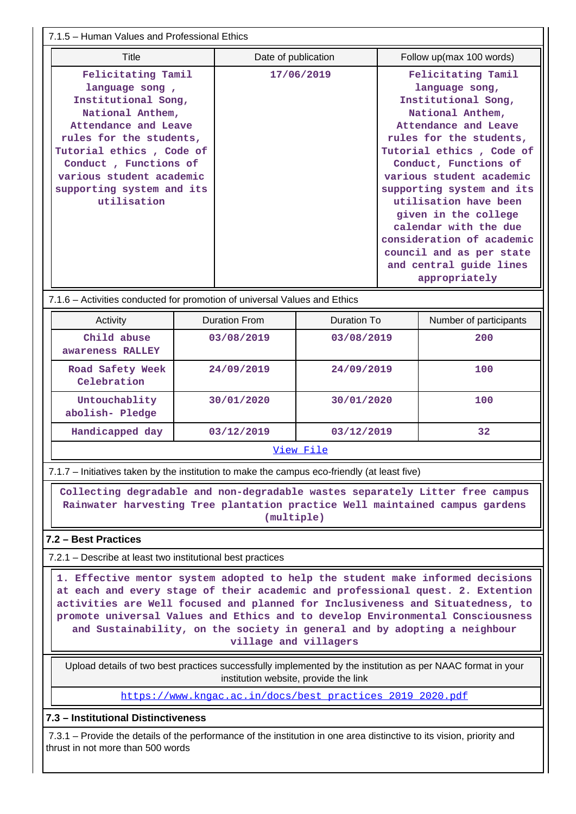7.1.5 – Human Values and Professional Ethics

| Felicitating Tamil                                                                                                                                                                               | Felicitating Tamil                                                                                                                                                                                                                                                                                                                                                                      |
|--------------------------------------------------------------------------------------------------------------------------------------------------------------------------------------------------|-----------------------------------------------------------------------------------------------------------------------------------------------------------------------------------------------------------------------------------------------------------------------------------------------------------------------------------------------------------------------------------------|
| language song,                                                                                                                                                                                   | 17/06/2019                                                                                                                                                                                                                                                                                                                                                                              |
| Institutional Song,                                                                                                                                                                              | language song,                                                                                                                                                                                                                                                                                                                                                                          |
| National Anthem,<br>Attendance and Leave<br>rules for the students,<br>Tutorial ethics, Code of<br>Conduct, Functions of<br>various student academic<br>supporting system and its<br>utilisation | Institutional Song,<br>National Anthem,<br>Attendance and Leave<br>rules for the students,<br>Tutorial ethics, Code of<br>Conduct, Functions of<br>various student academic<br>supporting system and its<br>utilisation have been<br>given in the college<br>calendar with the due<br>consideration of academic<br>council and as per state<br>and central guide lines<br>appropriately |

7.1.6 – Activities conducted for promotion of universal Values and Ethics

| Activity                         | Duration From | Duration To | Number of participants |  |  |  |  |
|----------------------------------|---------------|-------------|------------------------|--|--|--|--|
| Child abuse<br>awareness RALLEY  | 03/08/2019    | 03/08/2019  | 200                    |  |  |  |  |
| Road Safety Week<br>Celebration  | 24/09/2019    | 24/09/2019  | 100                    |  |  |  |  |
| Untouchablity<br>abolish- Pledge | 30/01/2020    | 30/01/2020  | 100                    |  |  |  |  |
| Handicapped day                  | 03/12/2019    | 03/12/2019  | 32                     |  |  |  |  |
| View File                        |               |             |                        |  |  |  |  |

7.1.7 – Initiatives taken by the institution to make the campus eco-friendly (at least five)

 **Collecting degradable and non-degradable wastes separately Litter free campus Rainwater harvesting Tree plantation practice Well maintained campus gardens (multiple)**

### **7.2 – Best Practices**

7.2.1 – Describe at least two institutional best practices

 **1. Effective mentor system adopted to help the student make informed decisions at each and every stage of their academic and professional quest. 2. Extention activities are Well focused and planned for Inclusiveness and Situatedness, to promote universal Values and Ethics and to develop Environmental Consciousness and Sustainability, on the society in general and by adopting a neighbour village and villagers**

 Upload details of two best practices successfully implemented by the institution as per NAAC format in your institution website, provide the link

[https://www.kngac.ac.in/docs/best\\_practices\\_2019\\_2020.pdf](https://www.kngac.ac.in/docs/best_practices_2019_2020.pdf)

#### **7.3 – Institutional Distinctiveness**

 7.3.1 – Provide the details of the performance of the institution in one area distinctive to its vision, priority and thrust in not more than 500 words